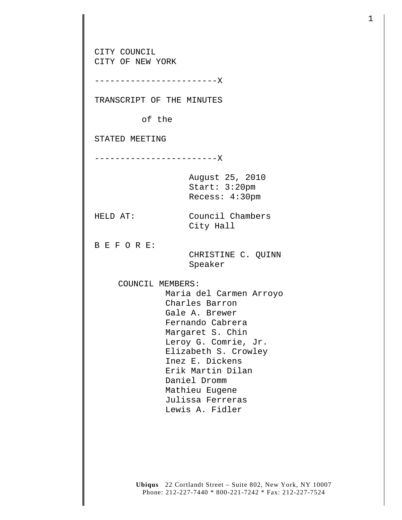CITY COUNCIL CITY OF NEW YORK ------------------------X TRANSCRIPT OF THE MINUTES of the STATED MEETING ------------------------X August 25, 2010 Start: 3:20pm Recess: 4:30pm HELD AT: Council Chambers City Hall B E F O R E: CHRISTINE C. QUINN Speaker COUNCIL MEMBERS: Maria del Carmen Arroyo Charles Barron Gale A. Brewer Fernando Cabrera Margaret S. Chin Leroy G. Comrie, Jr. Elizabeth S. Crowley Inez E. Dickens Erik Martin Dilan Daniel Dromm Mathieu Eugene Julissa Ferreras Lewis A. Fidler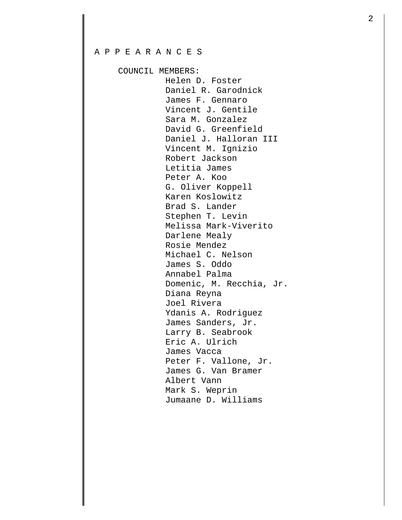## A P P E A R A N C E S

COUNCIL MEMBERS:

 Helen D. Foster Daniel R. Garodnick James F. Gennaro Vincent J. Gentile Sara M. Gonzalez David G. Greenfield Daniel J. Halloran III Vincent M. Ignizio Robert Jackson Letitia James Peter A. Koo G. Oliver Koppell Karen Koslowitz Brad S. Lander Stephen T. Levin Melissa Mark-Viverito Darlene Mealy Rosie Mendez Michael C. Nelson James S. Oddo Annabel Palma Domenic, M. Recchia, Jr. Diana Reyna Joel Rivera Ydanis A. Rodriguez James Sanders, Jr. Larry B. Seabrook Eric A. Ulrich James Vacca Peter F. Vallone, Jr. James G. Van Bramer Albert Vann Mark S. Weprin Jumaane D. Williams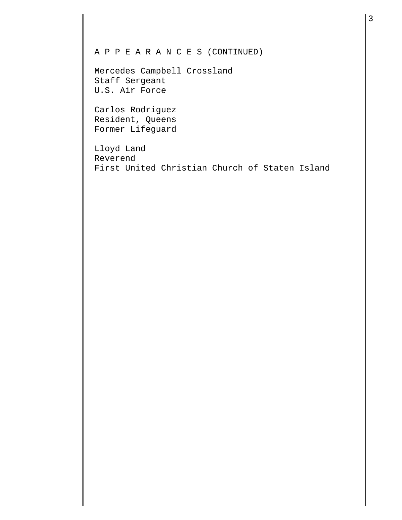## A P P E A R A N C E S (CONTINUED)

Mercedes Campbell Crossland Staff Sergeant U.S. Air Force

Carlos Rodriguez Resident, Queens Former Lifeguard

Lloyd Land Reverend First United Christian Church of Staten Island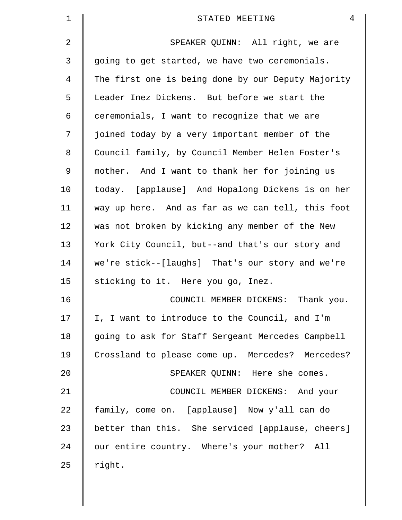| $\mathbf 1$    | $\overline{4}$<br>STATED MEETING                   |
|----------------|----------------------------------------------------|
| $\overline{2}$ | SPEAKER QUINN: All right, we are                   |
| 3              | going to get started, we have two ceremonials.     |
| 4              | The first one is being done by our Deputy Majority |
| 5              | Leader Inez Dickens. But before we start the       |
| 6              | ceremonials, I want to recognize that we are       |
| 7              | joined today by a very important member of the     |
| 8              | Council family, by Council Member Helen Foster's   |
| $\mathsf 9$    | mother. And I want to thank her for joining us     |
| 10             | today. [applause] And Hopalong Dickens is on her   |
| 11             | way up here. And as far as we can tell, this foot  |
| 12             | was not broken by kicking any member of the New    |
| 13             | York City Council, but--and that's our story and   |
| 14             | we're stick--[laughs] That's our story and we're   |
| 15             | sticking to it. Here you go, Inez.                 |
| 16             | COUNCIL MEMBER DICKENS:<br>Thank you.              |
| 17             | I, I want to introduce to the Council, and I'm     |
| 18             | going to ask for Staff Sergeant Mercedes Campbell  |
| 19             | Crossland to please come up. Mercedes? Mercedes?   |
| 20             | SPEAKER QUINN: Here she comes.                     |
| 21             | COUNCIL MEMBER DICKENS: And your                   |
| 22             | family, come on. [applause] Now y'all can do       |
| 23             | better than this. She serviced [applause, cheers]  |
| 24             | our entire country. Where's your mother? All       |
| 25             | right.                                             |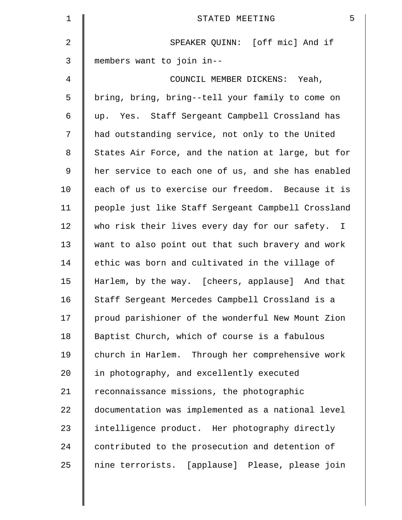| $\mathbf 1$ | 5<br>STATED MEETING                                |
|-------------|----------------------------------------------------|
| 2           | SPEAKER QUINN: [off mic] And if                    |
| 3           | members want to join in--                          |
| 4           | COUNCIL MEMBER DICKENS: Yeah,                      |
| 5           | bring, bring, bring--tell your family to come on   |
| 6           | up. Yes. Staff Sergeant Campbell Crossland has     |
| 7           | had outstanding service, not only to the United    |
| 8           | States Air Force, and the nation at large, but for |
| 9           | her service to each one of us, and she has enabled |
| 10          | each of us to exercise our freedom. Because it is  |
| 11          | people just like Staff Sergeant Campbell Crossland |
| 12          | who risk their lives every day for our safety. I   |
| 13          | want to also point out that such bravery and work  |
| 14          | ethic was born and cultivated in the village of    |
| 15          | Harlem, by the way. [cheers, applause] And that    |
| 16          | Staff Sergeant Mercedes Campbell Crossland is a    |
| 17          | proud parishioner of the wonderful New Mount Zion  |
| 18          | Baptist Church, which of course is a fabulous      |
| 19          | church in Harlem. Through her comprehensive work   |
| 20          | in photography, and excellently executed           |
| 21          | reconnaissance missions, the photographic          |
| 22          | documentation was implemented as a national level  |
| 23          | intelligence product. Her photography directly     |
| 24          | contributed to the prosecution and detention of    |
| 25          | nine terrorists. [applause] Please, please join    |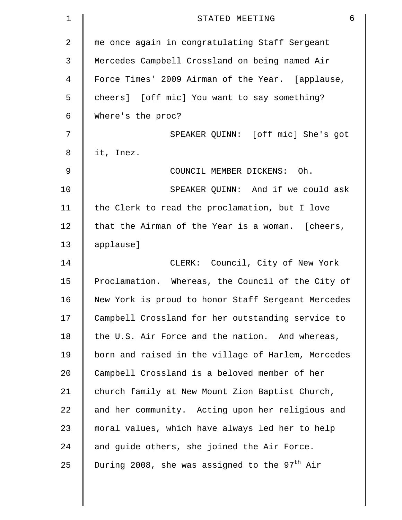| $\mathbf 1$ | $6\phantom{1}$<br>STATED MEETING                          |
|-------------|-----------------------------------------------------------|
| 2           | me once again in congratulating Staff Sergeant            |
| 3           | Mercedes Campbell Crossland on being named Air            |
| 4           | Force Times' 2009 Airman of the Year. [applause,          |
| 5           | cheers] [off mic] You want to say something?              |
| 6           | Where's the proc?                                         |
| 7           | SPEAKER QUINN: [off mic] She's got                        |
| 8           | it, Inez.                                                 |
| 9           | COUNCIL MEMBER DICKENS: Oh.                               |
| 10          | SPEAKER QUINN: And if we could ask                        |
| 11          | the Clerk to read the proclamation, but I love            |
| 12          | that the Airman of the Year is a woman. [cheers,          |
| 13          | applause]                                                 |
| 14          | CLERK: Council, City of New York                          |
| 15          | Proclamation. Whereas, the Council of the City of         |
| 16          | New York is proud to honor Staff Sergeant Mercedes        |
| 17          | Campbell Crossland for her outstanding service to         |
| 18          | the U.S. Air Force and the nation. And whereas,           |
| 19          | born and raised in the village of Harlem, Mercedes        |
| 20          | Campbell Crossland is a beloved member of her             |
| 21          | church family at New Mount Zion Baptist Church,           |
| 22          | and her community. Acting upon her religious and          |
| 23          | moral values, which have always led her to help           |
| 24          | and guide others, she joined the Air Force.               |
| 25          | During 2008, she was assigned to the 97 <sup>th</sup> Air |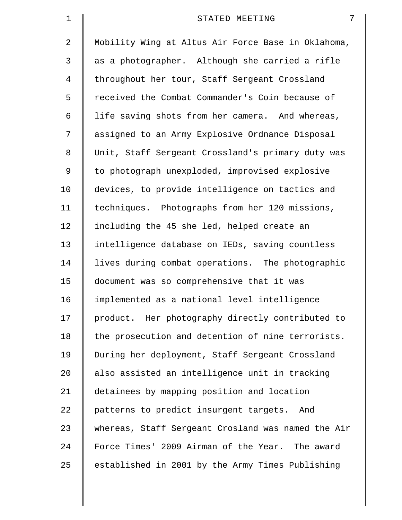| $\mathbf 1$    | 7<br>STATED MEETING                                |
|----------------|----------------------------------------------------|
| $\overline{2}$ | Mobility Wing at Altus Air Force Base in Oklahoma, |
| 3              | as a photographer. Although she carried a rifle    |
| 4              | throughout her tour, Staff Sergeant Crossland      |
| 5              | received the Combat Commander's Coin because of    |
| 6              | life saving shots from her camera. And whereas,    |
| 7              | assigned to an Army Explosive Ordnance Disposal    |
| 8              | Unit, Staff Sergeant Crossland's primary duty was  |
| 9              | to photograph unexploded, improvised explosive     |
| 10             | devices, to provide intelligence on tactics and    |
| 11             | techniques. Photographs from her 120 missions,     |
| 12             | including the 45 she led, helped create an         |
| 13             | intelligence database on IEDs, saving countless    |
| 14             | lives during combat operations. The photographic   |
| 15             | document was so comprehensive that it was          |
| 16             | implemented as a national level intelligence       |
| 17             | product. Her photography directly contributed to   |
| 18             | the prosecution and detention of nine terrorists.  |
| 19             | During her deployment, Staff Sergeant Crossland    |
| 20             | also assisted an intelligence unit in tracking     |
| 21             | detainees by mapping position and location         |
| 22             | patterns to predict insurgent targets. And         |
| 23             | whereas, Staff Sergeant Crosland was named the Air |
| 24             | Force Times' 2009 Airman of the Year. The award    |
| 25             | established in 2001 by the Army Times Publishing   |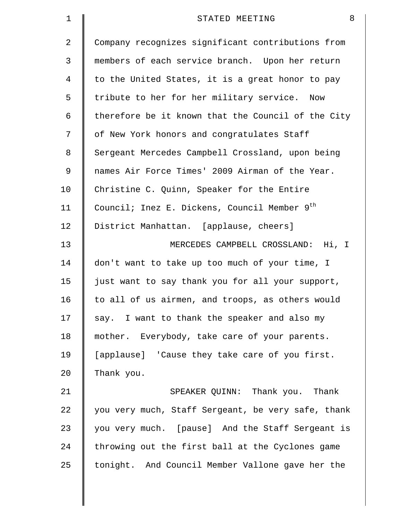| 1  | 8<br>STATED MEETING                                |
|----|----------------------------------------------------|
| 2  | Company recognizes significant contributions from  |
| 3  | members of each service branch. Upon her return    |
| 4  | to the United States, it is a great honor to pay   |
| 5  | tribute to her for her military service. Now       |
| 6  | therefore be it known that the Council of the City |
| 7  | of New York honors and congratulates Staff         |
| 8  | Sergeant Mercedes Campbell Crossland, upon being   |
| 9  | names Air Force Times' 2009 Airman of the Year.    |
| 10 | Christine C. Quinn, Speaker for the Entire         |
| 11 | Council; Inez E. Dickens, Council Member 9th       |
| 12 | District Manhattan. [applause, cheers]             |
| 13 | MERCEDES CAMPBELL CROSSLAND: Hi, I                 |
| 14 | don't want to take up too much of your time, I     |
| 15 | just want to say thank you for all your support,   |
| 16 | to all of us airmen, and troops, as others would   |
| 17 | say. I want to thank the speaker and also my       |
| 18 | mother. Everybody, take care of your parents.      |
| 19 | [applause] 'Cause they take care of you first.     |
| 20 | Thank you.                                         |
| 21 | SPEAKER QUINN: Thank you. Thank                    |
| 22 | you very much, Staff Sergeant, be very safe, thank |
| 23 | you very much. [pause] And the Staff Sergeant is   |
| 24 | throwing out the first ball at the Cyclones game   |
| 25 | tonight. And Council Member Vallone gave her the   |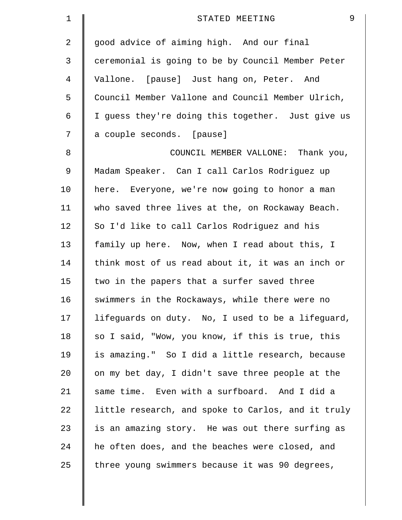| $\mathbf 1$ | 9<br>STATED MEETING                                |
|-------------|----------------------------------------------------|
| 2           | good advice of aiming high. And our final          |
| 3           | ceremonial is going to be by Council Member Peter  |
| 4           | Vallone. [pause] Just hang on, Peter. And          |
| 5           | Council Member Vallone and Council Member Ulrich,  |
| 6           | I guess they're doing this together. Just give us  |
| 7           | a couple seconds. [pause]                          |
| 8           | COUNCIL MEMBER VALLONE: Thank you,                 |
| 9           | Madam Speaker. Can I call Carlos Rodriguez up      |
| 10          | here. Everyone, we're now going to honor a man     |
| 11          | who saved three lives at the, on Rockaway Beach.   |
| 12          | So I'd like to call Carlos Rodriguez and his       |
| 13          | family up here. Now, when I read about this, I     |
| 14          | think most of us read about it, it was an inch or  |
| 15          | two in the papers that a surfer saved three        |
| 16          | swimmers in the Rockaways, while there were no     |
| 17          | lifeguards on duty. No, I used to be a lifeguard,  |
| 18          | so I said, "Wow, you know, if this is true, this   |
| 19          | is amazing." So I did a little research, because   |
| 20          | on my bet day, I didn't save three people at the   |
| 21          | same time. Even with a surfboard. And I did a      |
| 22          | little research, and spoke to Carlos, and it truly |
| 23          | is an amazing story. He was out there surfing as   |
| 24          | he often does, and the beaches were closed, and    |
| 25          | three young swimmers because it was 90 degrees,    |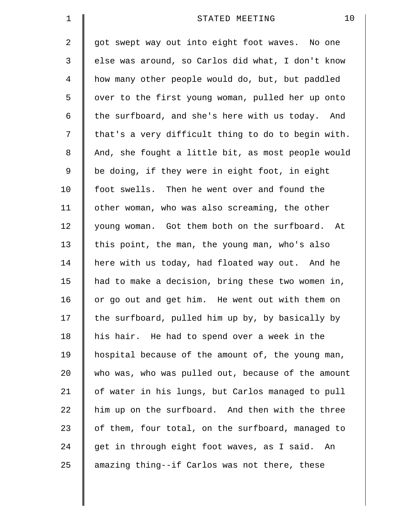| $\mathbf 1$ | 10<br>STATED MEETING                               |
|-------------|----------------------------------------------------|
| 2           | got swept way out into eight foot waves. No one    |
| 3           | else was around, so Carlos did what, I don't know  |
| 4           | how many other people would do, but, but paddled   |
| 5           | over to the first young woman, pulled her up onto  |
| 6           | the surfboard, and she's here with us today. And   |
| 7           | that's a very difficult thing to do to begin with. |
| 8           | And, she fought a little bit, as most people would |
| 9           | be doing, if they were in eight foot, in eight     |
| 10          | foot swells. Then he went over and found the       |
| 11          | other woman, who was also screaming, the other     |
| 12          | young woman. Got them both on the surfboard. At    |
| 13          | this point, the man, the young man, who's also     |
| 14          | here with us today, had floated way out. And he    |
| 15          | had to make a decision, bring these two women in,  |
| 16          | or go out and get him. He went out with them on    |
| 17          | the surfboard, pulled him up by, by basically by   |
| 18          | his hair. He had to spend over a week in the       |
| 19          | hospital because of the amount of, the young man,  |
| 20          | who was, who was pulled out, because of the amount |
| 21          | of water in his lungs, but Carlos managed to pull  |
| 22          | him up on the surfboard. And then with the three   |
| 23          | of them, four total, on the surfboard, managed to  |
| 24          | get in through eight foot waves, as I said. An     |
| 25          | amazing thing--if Carlos was not there, these      |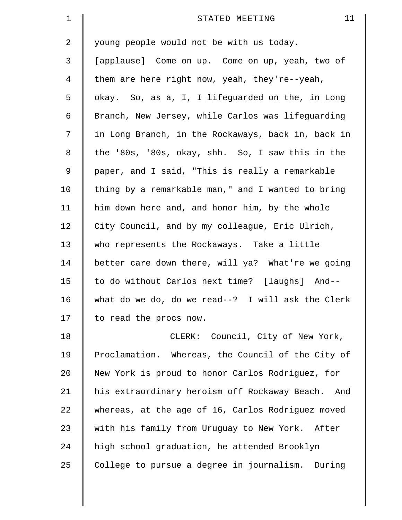| $\mathbf 1$    | 11<br>STATED MEETING                               |
|----------------|----------------------------------------------------|
| 2              | young people would not be with us today.           |
| 3              | [applause] Come on up. Come on up, yeah, two of    |
| $\overline{4}$ | them are here right now, yeah, they're--yeah,      |
| 5              | okay. So, as a, I, I lifeguarded on the, in Long   |
| 6              | Branch, New Jersey, while Carlos was lifeguarding  |
| 7              | in Long Branch, in the Rockaways, back in, back in |
| 8              | the '80s, '80s, okay, shh. So, I saw this in the   |
| 9              | paper, and I said, "This is really a remarkable    |
| 10             | thing by a remarkable man," and I wanted to bring  |
| 11             | him down here and, and honor him, by the whole     |
| 12             | City Council, and by my colleague, Eric Ulrich,    |
| 13             | who represents the Rockaways. Take a little        |
| 14             | better care down there, will ya? What're we going  |
| 15             | to do without Carlos next time? [laughs] And--     |
| 16             | what do we do, do we read--? I will ask the Clerk  |
| 17             | to read the procs now.                             |
| 18             | CLERK: Council, City of New York,                  |
| 19             | Proclamation. Whereas, the Council of the City of  |
| 20             | New York is proud to honor Carlos Rodriguez, for   |
| 21             | his extraordinary heroism off Rockaway Beach. And  |
| 22             | whereas, at the age of 16, Carlos Rodriguez moved  |
| 23             | with his family from Uruguay to New York. After    |
| 24             | high school graduation, he attended Brooklyn       |
| 25             | College to pursue a degree in journalism. During   |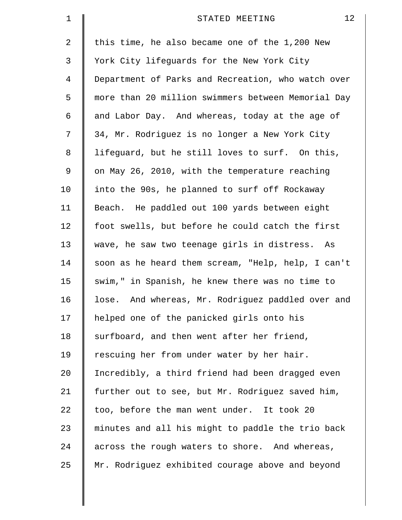| $\mathbf 1$ | 12<br>STATED MEETING                               |
|-------------|----------------------------------------------------|
| 2           | this time, he also became one of the 1,200 New     |
| 3           | York City lifeguards for the New York City         |
| 4           | Department of Parks and Recreation, who watch over |
| 5           | more than 20 million swimmers between Memorial Day |
| 6           | and Labor Day. And whereas, today at the age of    |
| 7           | 34, Mr. Rodriguez is no longer a New York City     |
| 8           | lifeguard, but he still loves to surf. On this,    |
| 9           | on May 26, 2010, with the temperature reaching     |
| 10          | into the 90s, he planned to surf off Rockaway      |
| 11          | Beach. He paddled out 100 yards between eight      |
| 12          | foot swells, but before he could catch the first   |
| 13          | wave, he saw two teenage girls in distress. As     |
| 14          | soon as he heard them scream, "Help, help, I can't |
| 15          | swim," in Spanish, he knew there was no time to    |
| 16          | lose. And whereas, Mr. Rodriguez paddled over and  |
| 17          | helped one of the panicked girls onto his          |
| 18          | surfboard, and then went after her friend,         |
| 19          | rescuing her from under water by her hair.         |
| 20          | Incredibly, a third friend had been dragged even   |
| 21          | further out to see, but Mr. Rodriguez saved him,   |
| 22          | too, before the man went under. It took 20         |
| 23          | minutes and all his might to paddle the trio back  |
| 24          | across the rough waters to shore. And whereas,     |
| 25          | Mr. Rodriguez exhibited courage above and beyond   |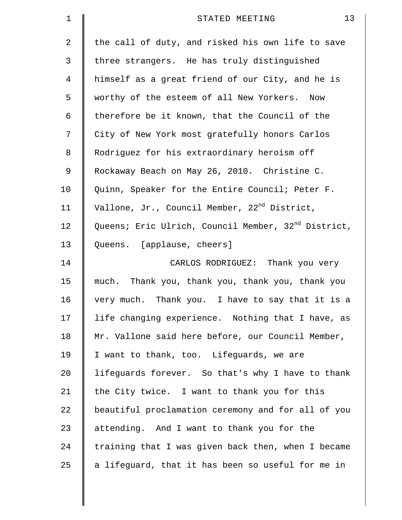| $\mathbf 1$ | 13<br>STATED MEETING                                            |
|-------------|-----------------------------------------------------------------|
| 2           | the call of duty, and risked his own life to save               |
| 3           | three strangers. He has truly distinguished                     |
| 4           | himself as a great friend of our City, and he is                |
| 5           | worthy of the esteem of all New Yorkers. Now                    |
| 6           | therefore be it known, that the Council of the                  |
| 7           | City of New York most gratefully honors Carlos                  |
| 8           | Rodriguez for his extraordinary heroism off                     |
| 9           | Rockaway Beach on May 26, 2010. Christine C.                    |
| 10          | Quinn, Speaker for the Entire Council; Peter F.                 |
| 11          | Vallone, Jr., Council Member, 22 <sup>nd</sup> District,        |
| 12          | Queens; Eric Ulrich, Council Member, 32 <sup>nd</sup> District, |
| 13          | Queens. [applause, cheers]                                      |
| 14          | CARLOS RODRIGUEZ: Thank you very                                |
| 15          | much. Thank you, thank you, thank you, thank you                |
| 16          | very much. Thank you. I have to say that it is a                |
| 17          | life changing experience. Nothing that I have, as               |
| 18          | Mr. Vallone said here before, our Council Member,               |
| 19          | I want to thank, too. Lifequards, we are                        |
| 20          | lifeguards forever. So that's why I have to thank               |
| 21          | the City twice. I want to thank you for this                    |
| 22          | beautiful proclamation ceremony and for all of you              |
| 23          | attending. And I want to thank you for the                      |
| 24          | training that I was given back then, when I became              |
| 25          | a lifeguard, that it has been so useful for me in               |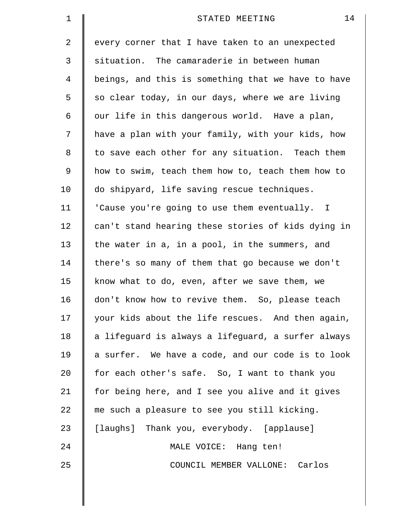| 1  | 14<br>STATED MEETING                               |
|----|----------------------------------------------------|
| 2  | every corner that I have taken to an unexpected    |
| 3  | situation. The camaraderie in between human        |
| 4  | beings, and this is something that we have to have |
| 5  | so clear today, in our days, where we are living   |
| 6  | our life in this dangerous world. Have a plan,     |
| 7  | have a plan with your family, with your kids, how  |
| 8  | to save each other for any situation. Teach them   |
| 9  | how to swim, teach them how to, teach them how to  |
| 10 | do shipyard, life saving rescue techniques.        |
| 11 | 'Cause you're going to use them eventually. I      |
| 12 | can't stand hearing these stories of kids dying in |
| 13 | the water in a, in a pool, in the summers, and     |
| 14 | there's so many of them that go because we don't   |
| 15 | know what to do, even, after we save them, we      |
| 16 | don't know how to revive them. So, please teach    |
| 17 | your kids about the life rescues. And then again,  |
| 18 | a lifeguard is always a lifeguard, a surfer always |
| 19 | a surfer. We have a code, and our code is to look  |
| 20 | for each other's safe. So, I want to thank you     |
| 21 | for being here, and I see you alive and it gives   |
| 22 | me such a pleasure to see you still kicking.       |
| 23 | [laughs] Thank you, everybody. [applause]          |
| 24 | MALE VOICE: Hang ten!                              |
| 25 | COUNCIL MEMBER VALLONE: Carlos                     |
|    |                                                    |
|    |                                                    |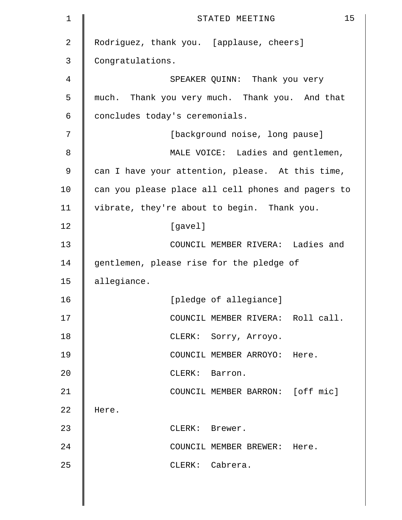| $\mathbf 1$    | 15<br>STATED MEETING                               |
|----------------|----------------------------------------------------|
| $\overline{2}$ | Rodriguez, thank you. [applause, cheers]           |
| 3              | Congratulations.                                   |
| 4              | SPEAKER QUINN: Thank you very                      |
| 5              | much. Thank you very much. Thank you. And that     |
| 6              | concludes today's ceremonials.                     |
| 7              | [background noise, long pause]                     |
| 8              | MALE VOICE: Ladies and gentlemen,                  |
| 9              | can I have your attention, please. At this time,   |
| 10             | can you please place all cell phones and pagers to |
| 11             | vibrate, they're about to begin. Thank you.        |
| 12             | [gavel]                                            |
| 13             | COUNCIL MEMBER RIVERA: Ladies and                  |
| 14             | gentlemen, please rise for the pledge of           |
| 15             | allegiance.                                        |
| 16             | [pledge of allegiance]                             |
| 17             | COUNCIL MEMBER RIVERA: Roll call.                  |
| 18             | CLERK: Sorry, Arroyo.                              |
| 19             | COUNCIL MEMBER ARROYO: Here.                       |
| 20             | CLERK: Barron.                                     |
| 21             | COUNCIL MEMBER BARRON: [off mic]                   |
| 22             | Here.                                              |
| 23             | CLERK: Brewer.                                     |
| 24             | COUNCIL MEMBER BREWER: Here.                       |
| 25             | CLERK: Cabrera.                                    |
|                |                                                    |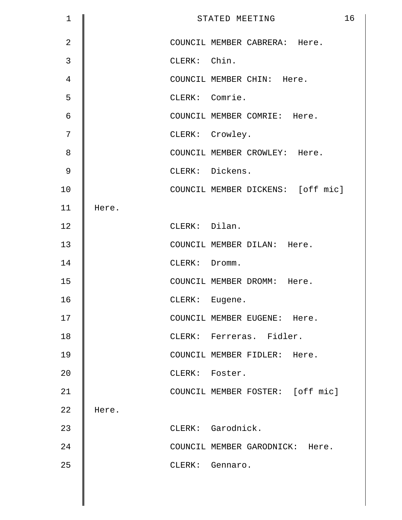| $\mathbf 1$    |       |                | 16<br>STATED MEETING              |
|----------------|-------|----------------|-----------------------------------|
| $\overline{2}$ |       |                | COUNCIL MEMBER CABRERA: Here.     |
| 3              |       | CLERK: Chin.   |                                   |
| 4              |       |                | COUNCIL MEMBER CHIN: Here.        |
| 5              |       | CLERK: Comrie. |                                   |
| 6              |       |                | COUNCIL MEMBER COMRIE: Here.      |
| 7              |       |                | CLERK: Crowley.                   |
| 8              |       |                | COUNCIL MEMBER CROWLEY: Here.     |
| $\mathsf 9$    |       |                | CLERK: Dickens.                   |
| 10             |       |                | COUNCIL MEMBER DICKENS: [off mic] |
| 11             | Here. |                |                                   |
| 12             |       | CLERK: Dilan.  |                                   |
| 13             |       |                | COUNCIL MEMBER DILAN: Here.       |
| 14             |       | CLERK: Dromm.  |                                   |
| 15             |       |                | COUNCIL MEMBER DROMM: Here.       |
| 16             |       | CLERK: Eugene. |                                   |
| 17             |       |                | COUNCIL MEMBER EUGENE: Here.      |
| 18             |       |                | CLERK: Ferreras. Fidler.          |
| 19             |       |                | COUNCIL MEMBER FIDLER: Here.      |
| 20             |       | CLERK: Foster. |                                   |
| 21             |       |                | COUNCIL MEMBER FOSTER: [off mic]  |
| 22             | Here. |                |                                   |
| 23             |       |                | CLERK: Garodnick.                 |
| 24             |       |                | COUNCIL MEMBER GARODNICK: Here.   |
| 25             |       |                | CLERK: Gennaro.                   |
|                |       |                |                                   |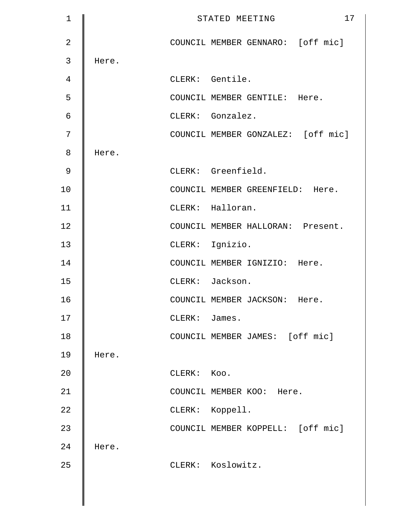| $\mathbf 1$    |       |               | 17<br>STATED MEETING               |
|----------------|-------|---------------|------------------------------------|
| $\overline{2}$ |       |               | COUNCIL MEMBER GENNARO: [off mic]  |
| 3              | Here. |               |                                    |
| 4              |       |               | CLERK: Gentile.                    |
| 5              |       |               | COUNCIL MEMBER GENTILE: Here.      |
| 6              |       |               | CLERK: Gonzalez.                   |
| 7              |       |               | COUNCIL MEMBER GONZALEZ: [off mic] |
| 8              | Here. |               |                                    |
| 9              |       |               | CLERK: Greenfield.                 |
| 10             |       |               | COUNCIL MEMBER GREENFIELD: Here.   |
| 11             |       |               | CLERK: Halloran.                   |
| 12             |       |               | COUNCIL MEMBER HALLORAN: Present.  |
| 13             |       |               | CLERK: Ignizio.                    |
| 14             |       |               | COUNCIL MEMBER IGNIZIO: Here.      |
| 15             |       |               | CLERK: Jackson.                    |
| 16             |       |               | COUNCIL MEMBER JACKSON: Here.      |
| 17             |       | CLERK: James. |                                    |
| 18             |       |               | COUNCIL MEMBER JAMES: [off mic]    |
| 19             | Here. |               |                                    |
| 20             |       | CLERK: Koo.   |                                    |
| 21             |       |               | COUNCIL MEMBER KOO: Here.          |
| 22             |       |               | CLERK: Koppell.                    |
| 23             |       |               | COUNCIL MEMBER KOPPELL: [off mic]  |
| 24             | Here. |               |                                    |
| 25             |       |               | CLERK: Koslowitz.                  |
|                |       |               |                                    |
|                |       |               |                                    |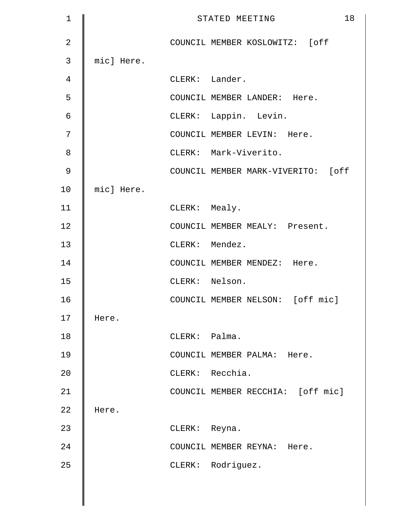| $\mathbf 1$    |            |               | 18<br>STATED MEETING               |
|----------------|------------|---------------|------------------------------------|
| $\overline{2}$ |            |               | COUNCIL MEMBER KOSLOWITZ: [off     |
| 3              | mic] Here. |               |                                    |
| 4              |            |               | CLERK: Lander.                     |
| 5              |            |               | COUNCIL MEMBER LANDER: Here.       |
| 6              |            |               | CLERK: Lappin. Levin.              |
| 7              |            |               | COUNCIL MEMBER LEVIN: Here.        |
| 8              |            |               | CLERK: Mark-Viverito.              |
| $\mathcal{G}$  |            |               | COUNCIL MEMBER MARK-VIVERITO: [off |
| 10             | micl Here. |               |                                    |
| 11             |            | CLERK: Mealy. |                                    |
| 12             |            |               | COUNCIL MEMBER MEALY: Present.     |
| 13             |            |               | CLERK: Mendez.                     |
| 14             |            |               | COUNCIL MEMBER MENDEZ: Here.       |
| 15             |            |               | CLERK: Nelson.                     |
| 16             |            |               | COUNCIL MEMBER NELSON: [off mic]   |
| 17             | Here.      |               |                                    |
| 18             |            | CLERK: Palma. |                                    |
| 19             |            |               | COUNCIL MEMBER PALMA: Here.        |
| 20             |            |               | CLERK: Recchia.                    |
| 21             |            |               | COUNCIL MEMBER RECCHIA: [off mic]  |
| 22             | Here.      |               |                                    |
| 23             |            | CLERK: Reyna. |                                    |
| 24             |            |               | COUNCIL MEMBER REYNA: Here.        |
| 25             |            |               | CLERK: Rodriguez.                  |
|                |            |               |                                    |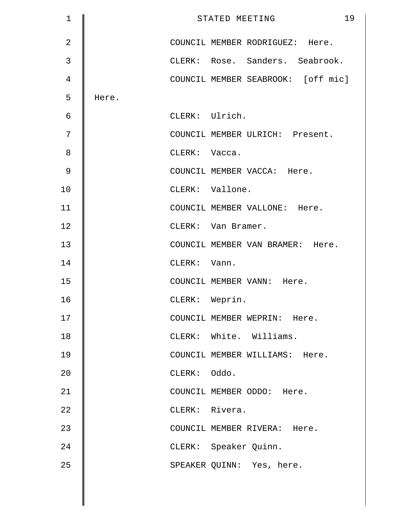| $\mathbf 1$    |       |                | 19<br>STATED MEETING               |
|----------------|-------|----------------|------------------------------------|
| $\overline{2}$ |       |                | COUNCIL MEMBER RODRIGUEZ: Here.    |
| $\mathbf{3}$   |       |                | CLERK: Rose. Sanders. Seabrook.    |
| 4              |       |                | COUNCIL MEMBER SEABROOK: [off mic] |
| 5              | Here. |                |                                    |
| 6              |       |                | CLERK: Ulrich.                     |
| 7              |       |                | COUNCIL MEMBER ULRICH: Present.    |
| 8              |       | CLERK: Vacca.  |                                    |
| $\mathcal{G}$  |       |                | COUNCIL MEMBER VACCA: Here.        |
| 10             |       |                | CLERK: Vallone.                    |
| 11             |       |                | COUNCIL MEMBER VALLONE: Here.      |
| 12             |       |                | CLERK: Van Bramer.                 |
| 13             |       |                | COUNCIL MEMBER VAN BRAMER: Here.   |
| 14             |       | CLERK: Vann.   |                                    |
| 15             |       |                | COUNCIL MEMBER VANN: Here.         |
| 16             |       | CLERK: Weprin. |                                    |
| 17             |       |                | COUNCIL MEMBER WEPRIN: Here.       |
| 18             |       |                | CLERK: White. Williams.            |
| 19             |       |                | COUNCIL MEMBER WILLIAMS: Here.     |
| 20             |       | CLERK: Oddo.   |                                    |
| 21             |       |                | COUNCIL MEMBER ODDO: Here.         |
| 22             |       |                | CLERK: Rivera.                     |
| 23             |       |                | COUNCIL MEMBER RIVERA: Here.       |
| 24             |       |                | CLERK: Speaker Quinn.              |
| 25             |       |                | SPEAKER QUINN: Yes, here.          |
|                |       |                |                                    |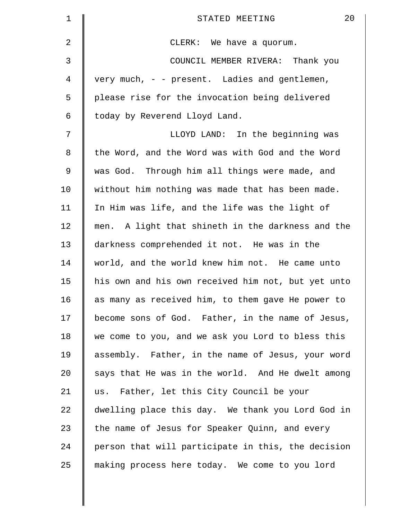| 1       | 20<br>STATED MEETING                               |
|---------|----------------------------------------------------|
| 2       | CLERK: We have a quorum.                           |
| 3       | COUNCIL MEMBER RIVERA: Thank you                   |
| 4       | very much, - - present. Ladies and gentlemen,      |
| 5       | please rise for the invocation being delivered     |
| 6       | today by Reverend Lloyd Land.                      |
| 7       | LLOYD LAND: In the beginning was                   |
| $\,8\,$ | the Word, and the Word was with God and the Word   |
| 9       | was God. Through him all things were made, and     |
| 10      | without him nothing was made that has been made.   |
| 11      | In Him was life, and the life was the light of     |
| 12      | men. A light that shineth in the darkness and the  |
| 13      | darkness comprehended it not. He was in the        |
| 14      | world, and the world knew him not. He came unto    |
| 15      | his own and his own received him not, but yet unto |
| 16      | as many as received him, to them gave He power to  |
| 17      | become sons of God. Father, in the name of Jesus,  |
| 18      | we come to you, and we ask you Lord to bless this  |
| 19      | assembly. Father, in the name of Jesus, your word  |
| 20      | says that He was in the world. And He dwelt among  |
| 21      | us. Father, let this City Council be your          |
| 22      | dwelling place this day. We thank you Lord God in  |
| 23      | the name of Jesus for Speaker Quinn, and every     |
| 24      | person that will participate in this, the decision |
| 25      | making process here today. We come to you lord     |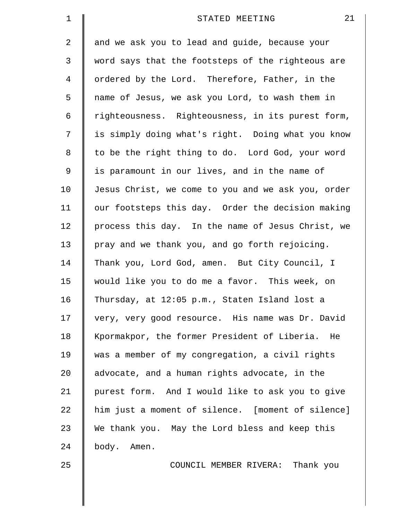| $\mathbf 1$    | 21<br>STATED MEETING                               |
|----------------|----------------------------------------------------|
| $\overline{2}$ | and we ask you to lead and guide, because your     |
| $\mathsf{3}$   | word says that the footsteps of the righteous are  |
| 4              | ordered by the Lord. Therefore, Father, in the     |
| 5              | name of Jesus, we ask you Lord, to wash them in    |
| 6              | righteousness. Righteousness, in its purest form,  |
| 7              | is simply doing what's right. Doing what you know  |
| 8              | to be the right thing to do. Lord God, your word   |
| $\mathsf 9$    | is paramount in our lives, and in the name of      |
| 10             | Jesus Christ, we come to you and we ask you, order |
| 11             | our footsteps this day. Order the decision making  |
| 12             | process this day. In the name of Jesus Christ, we  |
| 13             | pray and we thank you, and go forth rejoicing.     |
| 14             | Thank you, Lord God, amen. But City Council, I     |
| 15             | would like you to do me a favor. This week, on     |
| 16             | Thursday, at 12:05 p.m., Staten Island lost a      |
| 17             | very, very good resource. His name was Dr. David   |
| 18             | Kpormakpor, the former President of Liberia. He    |
| 19             | was a member of my congregation, a civil rights    |
| 20             | advocate, and a human rights advocate, in the      |
| 21             | purest form. And I would like to ask you to give   |
| 22             | him just a moment of silence. [moment of silence]  |
| 23             | We thank you. May the Lord bless and keep this     |
| 24             | body. Amen.                                        |
| 25             | COUNCIL MEMBER RIVERA: Thank you                   |
|                |                                                    |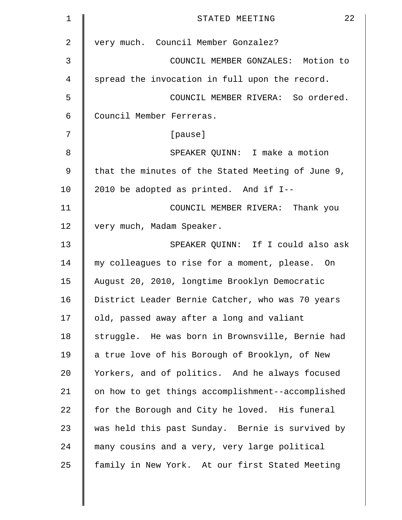| 1              | 22<br>STATED MEETING                              |
|----------------|---------------------------------------------------|
| $\overline{a}$ | very much. Council Member Gonzalez?               |
| 3              | COUNCIL MEMBER GONZALES: Motion to                |
| 4              | spread the invocation in full upon the record.    |
| 5              | COUNCIL MEMBER RIVERA: So ordered.                |
| 6              | Council Member Ferreras.                          |
| 7              | [pause]                                           |
| 8              | SPEAKER QUINN: I make a motion                    |
| 9              | that the minutes of the Stated Meeting of June 9, |
| 10             | 2010 be adopted as printed. And if I--            |
| 11             | COUNCIL MEMBER RIVERA: Thank you                  |
| 12             | very much, Madam Speaker.                         |
| 13             | SPEAKER QUINN: If I could also ask                |
| 14             | my colleagues to rise for a moment, please. On    |
| 15             | August 20, 2010, longtime Brooklyn Democratic     |
| 16             | District Leader Bernie Catcher, who was 70 years  |
| 17             | old, passed away after a long and valiant         |
| 18             | struggle. He was born in Brownsville, Bernie had  |
| 19             | a true love of his Borough of Brooklyn, of New    |
| 20             | Yorkers, and of politics. And he always focused   |
| 21             | on how to get things accomplishment--accomplished |
| 22             | for the Borough and City he loved. His funeral    |
| 23             | was held this past Sunday. Bernie is survived by  |
| 24             | many cousins and a very, very large political     |
| 25             | family in New York. At our first Stated Meeting   |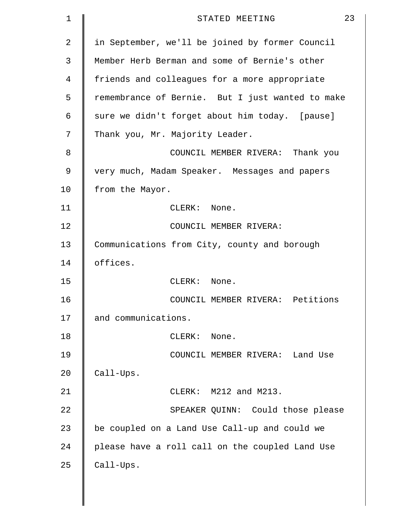| 1              | 23<br>STATED MEETING                             |
|----------------|--------------------------------------------------|
| $\overline{a}$ | in September, we'll be joined by former Council  |
| 3              | Member Herb Berman and some of Bernie's other    |
| 4              | friends and colleagues for a more appropriate    |
| 5              | remembrance of Bernie. But I just wanted to make |
| 6              | sure we didn't forget about him today. [pause]   |
| 7              | Thank you, Mr. Majority Leader.                  |
| 8              | COUNCIL MEMBER RIVERA: Thank you                 |
| 9              | very much, Madam Speaker. Messages and papers    |
| 10             | from the Mayor.                                  |
| 11             | CLERK: None.                                     |
| 12             | COUNCIL MEMBER RIVERA:                           |
| 13             | Communications from City, county and borough     |
| 14             | offices.                                         |
| 15             | CLERK: None.                                     |
| 16             | COUNCIL MEMBER RIVERA: Petitions                 |
| 17             | and communications.                              |
| 18             | $CLERK$ :<br>None.                               |
| 19             | COUNCIL MEMBER RIVERA: Land Use                  |
| 20             | Call-Ups.                                        |
| 21             | CLERK: M212 and M213.                            |
| 22             | SPEAKER QUINN: Could those please                |
| 23             | be coupled on a Land Use Call-up and could we    |
| 24             | please have a roll call on the coupled Land Use  |
| 25             | Call-Ups.                                        |
|                |                                                  |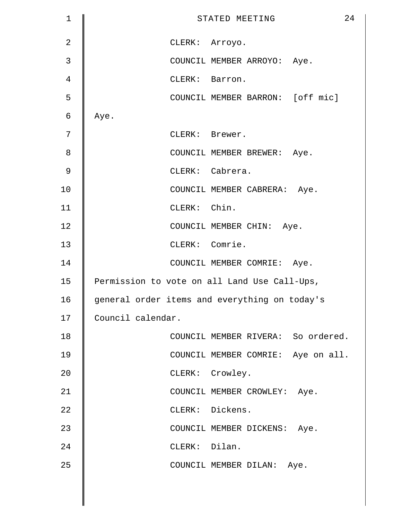| $\mathbf 1$    | 24<br>STATED MEETING                          |
|----------------|-----------------------------------------------|
| $\overline{2}$ | CLERK: Arroyo.                                |
| 3              | COUNCIL MEMBER ARROYO: Aye.                   |
| 4              | CLERK: Barron.                                |
| 5              | COUNCIL MEMBER BARRON: [off mic]              |
| 6              | Aye.                                          |
| 7              | CLERK: Brewer.                                |
| 8              | COUNCIL MEMBER BREWER: Aye.                   |
| $\mathsf 9$    | CLERK: Cabrera.                               |
| 10             | COUNCIL MEMBER CABRERA: Aye.                  |
| 11             | CLERK: Chin.                                  |
| 12             | COUNCIL MEMBER CHIN: Aye.                     |
| 13             | CLERK: Comrie.                                |
| 14             | COUNCIL MEMBER COMRIE: Aye.                   |
| 15             | Permission to vote on all Land Use Call-Ups,  |
| 16             | general order items and everything on today's |
| 17             | Council calendar.                             |
| 18             | COUNCIL MEMBER RIVERA: So ordered.            |
| 19             | COUNCIL MEMBER COMRIE: Aye on all.            |
| 20             | CLERK: Crowley.                               |
| 21             | COUNCIL MEMBER CROWLEY: Aye.                  |
| 22             | CLERK: Dickens.                               |
| 23             | COUNCIL MEMBER DICKENS: Aye.                  |
| 24             | CLERK: Dilan.                                 |
| 25             | COUNCIL MEMBER DILAN: Aye.                    |
|                |                                               |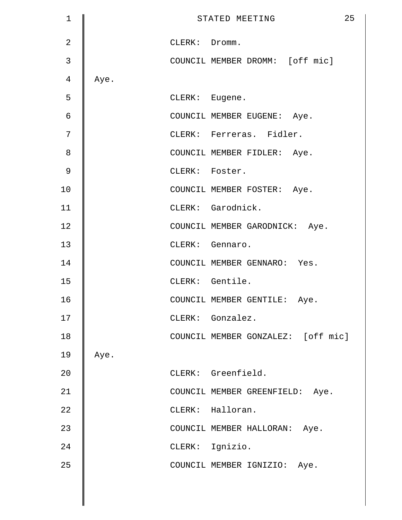| 1             |      |                | STATED MEETING                     | 25 |
|---------------|------|----------------|------------------------------------|----|
| 2             |      | CLERK: Dromm.  |                                    |    |
| $\mathbf{3}$  |      |                | COUNCIL MEMBER DROMM: [off mic]    |    |
| 4             | Aye. |                |                                    |    |
| 5             |      | CLERK: Eugene. |                                    |    |
| 6             |      |                | COUNCIL MEMBER EUGENE: Aye.        |    |
| 7             |      |                | CLERK: Ferreras. Fidler.           |    |
| 8             |      |                | COUNCIL MEMBER FIDLER: Aye.        |    |
| $\mathcal{G}$ |      | CLERK: Foster. |                                    |    |
| 10            |      |                | COUNCIL MEMBER FOSTER: Aye.        |    |
| 11            |      |                | CLERK: Garodnick.                  |    |
| 12            |      |                | COUNCIL MEMBER GARODNICK: Aye.     |    |
| 13            |      |                | CLERK: Gennaro.                    |    |
| 14            |      |                | COUNCIL MEMBER GENNARO: Yes.       |    |
| 15            |      |                | CLERK: Gentile.                    |    |
| 16            |      |                | COUNCIL MEMBER GENTILE: Aye.       |    |
| 17            |      |                | CLERK: Gonzalez.                   |    |
| 18            |      |                | COUNCIL MEMBER GONZALEZ: [off mic] |    |
| 19            | Aye. |                |                                    |    |
| 20            |      |                | CLERK: Greenfield.                 |    |
| 21            |      |                | COUNCIL MEMBER GREENFIELD: Aye.    |    |
| 22            |      |                | CLERK: Halloran.                   |    |
| 23            |      |                | COUNCIL MEMBER HALLORAN:<br>Aye.   |    |
| 24            |      |                | CLERK: Ignizio.                    |    |
| 25            |      |                | COUNCIL MEMBER IGNIZIO: Aye.       |    |
|               |      |                |                                    |    |
|               |      |                |                                    |    |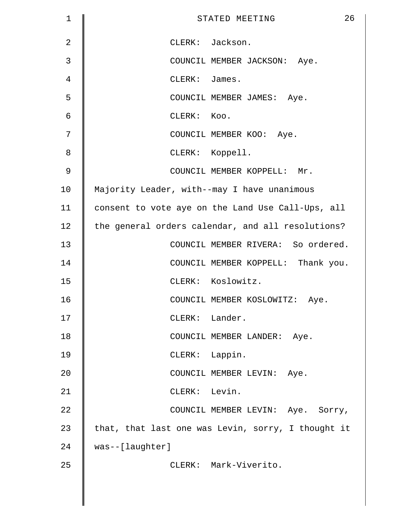| 1              | 26<br>STATED MEETING                               |
|----------------|----------------------------------------------------|
| $\overline{2}$ | CLERK: Jackson.                                    |
| 3              | COUNCIL MEMBER JACKSON: Aye.                       |
| 4              | CLERK: James.                                      |
| 5              | COUNCIL MEMBER JAMES: Aye.                         |
| 6              | CLERK: KOO.                                        |
| 7              | COUNCIL MEMBER KOO: Aye.                           |
| 8              | CLERK: Koppell.                                    |
| $\mathsf 9$    | COUNCIL MEMBER KOPPELL: Mr.                        |
| 10             | Majority Leader, with--may I have unanimous        |
| 11             | consent to vote aye on the Land Use Call-Ups, all  |
| 12             | the general orders calendar, and all resolutions?  |
| 13             | COUNCIL MEMBER RIVERA: So ordered.                 |
| 14             | COUNCIL MEMBER KOPPELL: Thank you.                 |
| 15             | CLERK: Koslowitz.                                  |
| 16             | COUNCIL MEMBER KOSLOWITZ: Aye.                     |
| 17             | CLERK: Lander.                                     |
| 18             | COUNCIL MEMBER LANDER: Aye.                        |
| 19             | CLERK: Lappin.                                     |
| 20             | COUNCIL MEMBER LEVIN: Aye.                         |
| 21             | CLERK: Levin.                                      |
| 22             | COUNCIL MEMBER LEVIN: Aye. Sorry,                  |
| 23             | that, that last one was Levin, sorry, I thought it |
| 24             | was--[laughter]                                    |
| 25             | CLERK: Mark-Viverito.                              |
|                |                                                    |
|                |                                                    |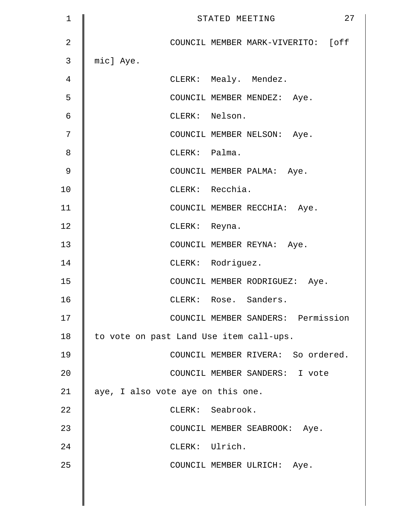| $\mathbf 1$    | 27<br>STATED MEETING                    |
|----------------|-----------------------------------------|
| $\overline{2}$ | COUNCIL MEMBER MARK-VIVERITO: [off      |
| 3              | mic] Aye.                               |
| 4              | CLERK: Mealy. Mendez.                   |
| 5              | COUNCIL MEMBER MENDEZ: Aye.             |
| 6              | CLERK: Nelson.                          |
| 7              | COUNCIL MEMBER NELSON: Aye.             |
| 8              | CLERK: Palma.                           |
| $\mathsf 9$    | COUNCIL MEMBER PALMA: Aye.              |
| 10             | CLERK: Recchia.                         |
| 11             | COUNCIL MEMBER RECCHIA: Aye.            |
| 12             | CLERK: Reyna.                           |
| 13             | COUNCIL MEMBER REYNA: Aye.              |
| 14             | CLERK: Rodriguez.                       |
| 15             | COUNCIL MEMBER RODRIGUEZ: Aye.          |
| 16             | CLERK: Rose. Sanders.                   |
| 17             | COUNCIL MEMBER SANDERS: Permission      |
| 18             | to vote on past Land Use item call-ups. |
| 19             | COUNCIL MEMBER RIVERA: So ordered.      |
| 20             | COUNCIL MEMBER SANDERS: I vote          |
| 21             | aye, I also vote aye on this one.       |
| 22             | CLERK: Seabrook.                        |
| 23             | COUNCIL MEMBER SEABROOK: Aye.           |
| 24             | CLERK: Ulrich.                          |
| 25             | COUNCIL MEMBER ULRICH: Aye.             |
|                |                                         |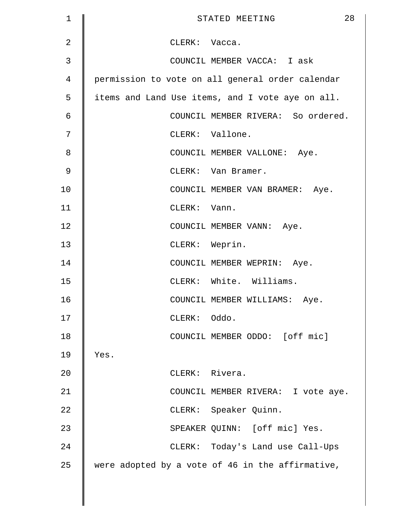| 1              | 28<br>STATED MEETING                             |
|----------------|--------------------------------------------------|
| $\overline{2}$ | CLERK: Vacca.                                    |
| 3              | COUNCIL MEMBER VACCA: I ask                      |
| 4              | permission to vote on all general order calendar |
| 5              | items and Land Use items, and I vote aye on all. |
| 6              | COUNCIL MEMBER RIVERA: So ordered.               |
| 7              | CLERK: Vallone.                                  |
| 8              | COUNCIL MEMBER VALLONE: Aye.                     |
| 9              | CLERK: Van Bramer.                               |
| 10             | COUNCIL MEMBER VAN BRAMER: Aye.                  |
| 11             | CLERK: Vann.                                     |
| 12             | COUNCIL MEMBER VANN: Aye.                        |
| 13             | CLERK: Weprin.                                   |
| 14             | COUNCIL MEMBER WEPRIN: Aye.                      |
| 15             | CLERK: White. Williams.                          |
| 16             | COUNCIL MEMBER WILLIAMS: Aye.                    |
| 17             | CLERK: Oddo.                                     |
| 18             | COUNCIL MEMBER ODDO: [off mic]                   |
| 19             | Yes.                                             |
| 20             | CLERK: Rivera.                                   |
| 21             | COUNCIL MEMBER RIVERA: I vote aye.               |
| 22             | CLERK: Speaker Quinn.                            |
| 23             | SPEAKER QUINN: [off mic] Yes.                    |
| 24             | CLERK: Today's Land use Call-Ups                 |
| 25             | were adopted by a vote of 46 in the affirmative, |
|                |                                                  |
|                |                                                  |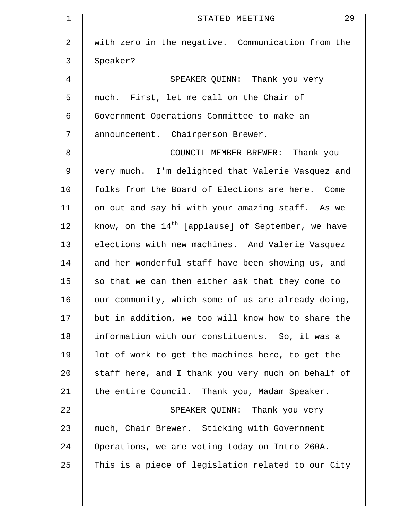| $\mathbf 1$    | 29<br>STATED MEETING                                 |
|----------------|------------------------------------------------------|
| $\overline{2}$ | with zero in the negative. Communication from the    |
| 3              | Speaker?                                             |
| 4              | SPEAKER QUINN: Thank you very                        |
| 5              | much. First, let me call on the Chair of             |
| 6              | Government Operations Committee to make an           |
| 7              | announcement. Chairperson Brewer.                    |
| 8              | COUNCIL MEMBER BREWER: Thank you                     |
| 9              | very much. I'm delighted that Valerie Vasquez and    |
| 10             | folks from the Board of Elections are here. Come     |
| 11             | on out and say hi with your amazing staff. As we     |
| 12             | know, on the $14th$ [applause] of September, we have |
| 13             | elections with new machines. And Valerie Vasquez     |
| 14             | and her wonderful staff have been showing us, and    |
| 15             | so that we can then either ask that they come to     |
| 16             | our community, which some of us are already doing,   |
| 17             | but in addition, we too will know how to share the   |
| 18             | information with our constituents. So, it was a      |
| 19             | lot of work to get the machines here, to get the     |
| 20             | staff here, and I thank you very much on behalf of   |
| 21             | the entire Council. Thank you, Madam Speaker.        |
| 22             | SPEAKER QUINN: Thank you very                        |
| 23             | much, Chair Brewer. Sticking with Government         |
| 24             | Operations, we are voting today on Intro 260A.       |
| 25             | This is a piece of legislation related to our City   |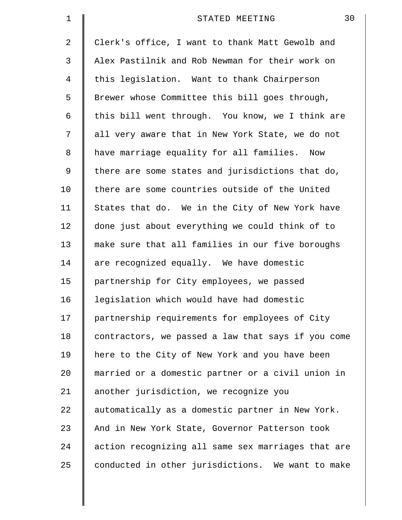| $\mathbf 1$ | 30<br>STATED MEETING                               |
|-------------|----------------------------------------------------|
| 2           | Clerk's office, I want to thank Matt Gewolb and    |
| 3           | Alex Pastilnik and Rob Newman for their work on    |
| 4           | this legislation. Want to thank Chairperson        |
| 5           | Brewer whose Committee this bill goes through,     |
| 6           | this bill went through. You know, we I think are   |
| 7           | all very aware that in New York State, we do not   |
| 8           | have marriage equality for all families. Now       |
| 9           | there are some states and jurisdictions that do,   |
| 10          | there are some countries outside of the United     |
| 11          | States that do. We in the City of New York have    |
| 12          | done just about everything we could think of to    |
| 13          | make sure that all families in our five boroughs   |
| 14          | are recognized equally. We have domestic           |
| 15          | partnership for City employees, we passed          |
| 16          | legislation which would have had domestic          |
| 17          | partnership requirements for employees of City     |
| 18          | contractors, we passed a law that says if you come |
| 19          | here to the City of New York and you have been     |
| 20          | married or a domestic partner or a civil union in  |
| 21          | another jurisdiction, we recognize you             |
| 22          | automatically as a domestic partner in New York.   |
| 23          | And in New York State, Governor Patterson took     |
| 24          | action recognizing all same sex marriages that are |
| 25          | conducted in other jurisdictions. We want to make  |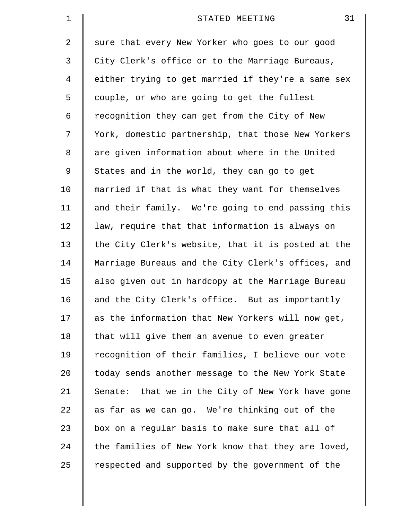| $\mathbf 1$ | 31<br>STATED MEETING                               |
|-------------|----------------------------------------------------|
| 2           | sure that every New Yorker who goes to our good    |
| 3           | City Clerk's office or to the Marriage Bureaus,    |
| 4           | either trying to get married if they're a same sex |
| 5           | couple, or who are going to get the fullest        |
| 6           | recognition they can get from the City of New      |
| 7           | York, domestic partnership, that those New Yorkers |
| 8           | are given information about where in the United    |
| 9           | States and in the world, they can go to get        |
| 10          | married if that is what they want for themselves   |
| 11          | and their family. We're going to end passing this  |
| 12          | law, require that that information is always on    |
| 13          | the City Clerk's website, that it is posted at the |
| 14          | Marriage Bureaus and the City Clerk's offices, and |
| 15          | also given out in hardcopy at the Marriage Bureau  |
| 16          | and the City Clerk's office. But as importantly    |
| 17          | as the information that New Yorkers will now get,  |
| 18          | that will give them an avenue to even greater      |
| 19          | recognition of their families, I believe our vote  |
| 20          | today sends another message to the New York State  |
| 21          | Senate: that we in the City of New York have gone  |
| 22          | as far as we can go. We're thinking out of the     |
| 23          | box on a regular basis to make sure that all of    |
| 24          | the families of New York know that they are loved, |
| 25          | respected and supported by the government of the   |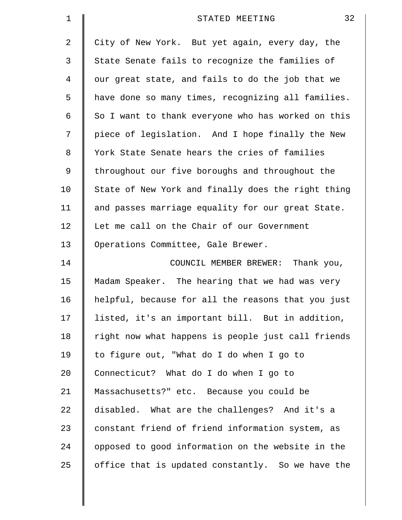| $\mathbf 1$    | 32<br>STATED MEETING                               |
|----------------|----------------------------------------------------|
| $\overline{a}$ | City of New York. But yet again, every day, the    |
| 3              | State Senate fails to recognize the families of    |
| 4              | our great state, and fails to do the job that we   |
| 5              | have done so many times, recognizing all families. |
| 6              | So I want to thank everyone who has worked on this |
| 7              | piece of legislation. And I hope finally the New   |
| 8              | York State Senate hears the cries of families      |
| 9              | throughout our five boroughs and throughout the    |
| 10             | State of New York and finally does the right thing |
| 11             | and passes marriage equality for our great State.  |
| 12             | Let me call on the Chair of our Government         |
| 13             | Operations Committee, Gale Brewer.                 |
| 14             | COUNCIL MEMBER BREWER: Thank you,                  |
| 15             | Madam Speaker. The hearing that we had was very    |
| 16             | helpful, because for all the reasons that you just |
| 17             | listed, it's an important bill. But in addition,   |
| 18             | right now what happens is people just call friends |
| 19             | to figure out, "What do I do when I go to          |
| 20             | Connecticut? What do I do when I go to             |
| 21             | Massachusetts?" etc. Because you could be          |
| 22             | disabled. What are the challenges? And it's a      |
| 23             | constant friend of friend information system, as   |
| 24             | opposed to good information on the website in the  |
| 25             | office that is updated constantly. So we have the  |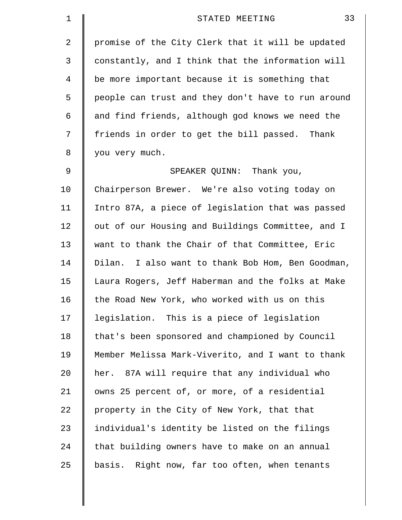| 1           | 33<br>STATED MEETING                               |
|-------------|----------------------------------------------------|
| 2           | promise of the City Clerk that it will be updated  |
| 3           | constantly, and I think that the information will  |
| 4           | be more important because it is something that     |
| 5           | people can trust and they don't have to run around |
| 6           | and find friends, although god knows we need the   |
| 7           | friends in order to get the bill passed. Thank     |
| 8           | you very much.                                     |
| $\mathsf 9$ | SPEAKER QUINN: Thank you,                          |
| 10          | Chairperson Brewer. We're also voting today on     |
| 11          | Intro 87A, a piece of legislation that was passed  |
| 12          | out of our Housing and Buildings Committee, and I  |
| 13          | want to thank the Chair of that Committee, Eric    |
| 14          | Dilan. I also want to thank Bob Hom, Ben Goodman,  |
| 15          | Laura Rogers, Jeff Haberman and the folks at Make  |
| 16          | the Road New York, who worked with us on this      |
| 17          | legislation. This is a piece of legislation        |
| 18          | that's been sponsored and championed by Council    |
| 19          | Member Melissa Mark-Viverito, and I want to thank  |
| 20          | her. 87A will require that any individual who      |
| 21          | owns 25 percent of, or more, of a residential      |
| 22          | property in the City of New York, that that        |
| 23          | individual's identity be listed on the filings     |
| 24          | that building owners have to make on an annual     |
| 25          | basis. Right now, far too often, when tenants      |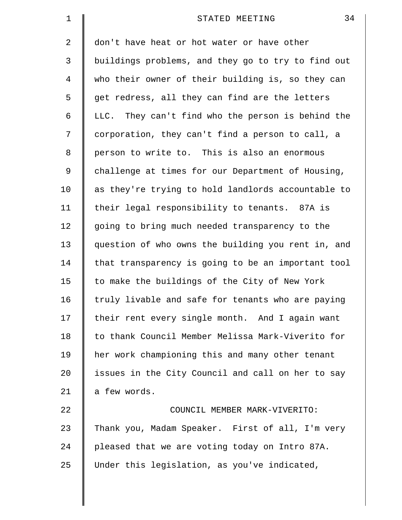| $\mathbf 1$ | 34<br>STATED MEETING                               |
|-------------|----------------------------------------------------|
| 2           | don't have heat or hot water or have other         |
| 3           | buildings problems, and they go to try to find out |
| 4           | who their owner of their building is, so they can  |
| 5           | get redress, all they can find are the letters     |
| 6           | LLC. They can't find who the person is behind the  |
| 7           | corporation, they can't find a person to call, a   |
| 8           | person to write to. This is also an enormous       |
| 9           | challenge at times for our Department of Housing,  |
| 10          | as they're trying to hold landlords accountable to |
| 11          | their legal responsibility to tenants. 87A is      |
| 12          | going to bring much needed transparency to the     |
| 13          | question of who owns the building you rent in, and |
| 14          | that transparency is going to be an important tool |
| 15          | to make the buildings of the City of New York      |
| 16          | truly livable and safe for tenants who are paying  |
| 17          | their rent every single month. And I again want    |
| 18          | to thank Council Member Melissa Mark-Viverito for  |
| 19          | her work championing this and many other tenant    |
| 20          | issues in the City Council and call on her to say  |
| 21          | a few words.                                       |
| 22          | COUNCIL MEMBER MARK-VIVERITO:                      |
| 23          | Thank you, Madam Speaker. First of all, I'm very   |
| 24          | pleased that we are voting today on Intro 87A.     |
| 25          | Under this legislation, as you've indicated,       |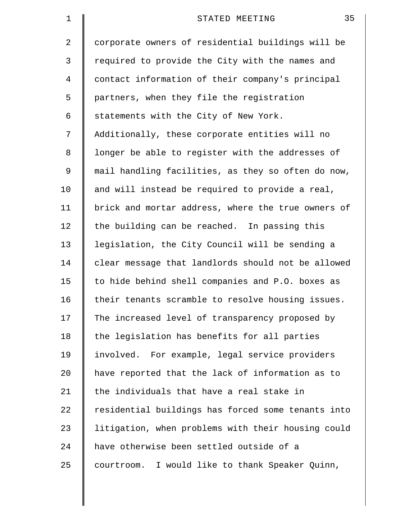| $\mathbf 1$    | 35<br>STATED MEETING                               |
|----------------|----------------------------------------------------|
| 2              | corporate owners of residential buildings will be  |
| 3              | required to provide the City with the names and    |
| $\overline{4}$ | contact information of their company's principal   |
| 5              | partners, when they file the registration          |
| 6              | statements with the City of New York.              |
| 7              | Additionally, these corporate entities will no     |
| 8              | longer be able to register with the addresses of   |
| 9              | mail handling facilities, as they so often do now, |
| 10             | and will instead be required to provide a real,    |
| 11             | brick and mortar address, where the true owners of |
| 12             | the building can be reached. In passing this       |
| 13             | legislation, the City Council will be sending a    |
| 14             | clear message that landlords should not be allowed |
| 15             | to hide behind shell companies and P.O. boxes as   |
| 16             | their tenants scramble to resolve housing issues.  |
| 17             | The increased level of transparency proposed by    |
| 18             | the legislation has benefits for all parties       |
| 19             | involved. For example, legal service providers     |
| 20             | have reported that the lack of information as to   |
| 21             | the individuals that have a real stake in          |
| 22             | residential buildings has forced some tenants into |
| 23             | litigation, when problems with their housing could |
| 24             | have otherwise been settled outside of a           |
| 25             | courtroom. I would like to thank Speaker Quinn,    |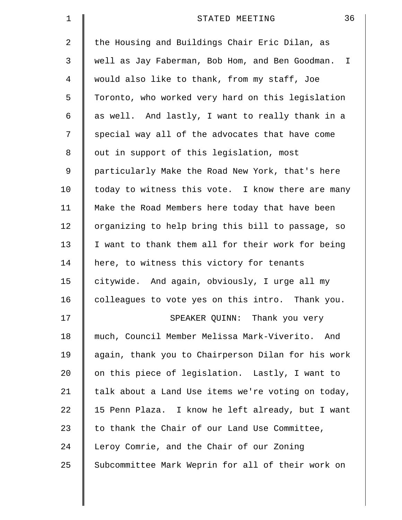| 1  | 36<br>STATED MEETING                                       |
|----|------------------------------------------------------------|
| 2  | the Housing and Buildings Chair Eric Dilan, as             |
| 3  | well as Jay Faberman, Bob Hom, and Ben Goodman.<br>$\perp$ |
| 4  | would also like to thank, from my staff, Joe               |
| 5  | Toronto, who worked very hard on this legislation          |
| 6  | as well. And lastly, I want to really thank in a           |
| 7  | special way all of the advocates that have come            |
| 8  | out in support of this legislation, most                   |
| 9  | particularly Make the Road New York, that's here           |
| 10 | today to witness this vote. I know there are many          |
| 11 | Make the Road Members here today that have been            |
| 12 | organizing to help bring this bill to passage, so          |
| 13 | I want to thank them all for their work for being          |
| 14 | here, to witness this victory for tenants                  |
| 15 | citywide. And again, obviously, I urge all my              |
| 16 | colleagues to vote yes on this intro. Thank you.           |
| 17 | SPEAKER QUINN: Thank you very                              |
| 18 | much, Council Member Melissa Mark-Viverito.<br>And         |
| 19 | again, thank you to Chairperson Dilan for his work         |
| 20 | on this piece of legislation. Lastly, I want to            |
| 21 | talk about a Land Use items we're voting on today,         |
| 22 | 15 Penn Plaza. I know he left already, but I want          |
| 23 | to thank the Chair of our Land Use Committee,              |
| 24 | Leroy Comrie, and the Chair of our Zoning                  |
| 25 | Subcommittee Mark Weprin for all of their work on          |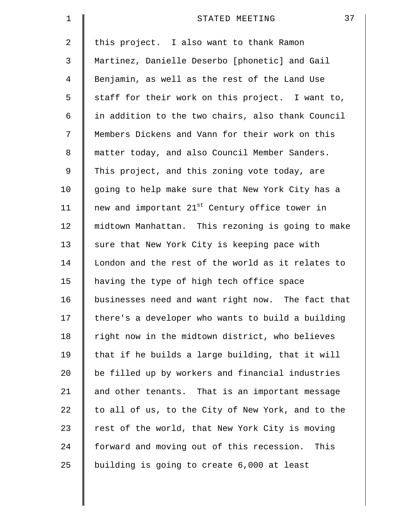| $\mathbf 1$ | 37<br>STATED MEETING                                       |
|-------------|------------------------------------------------------------|
| 2           | this project. I also want to thank Ramon                   |
| 3           | Martinez, Danielle Deserbo [phonetic] and Gail             |
| 4           | Benjamin, as well as the rest of the Land Use              |
| 5           | staff for their work on this project. I want to,           |
| 6           | in addition to the two chairs, also thank Council          |
| 7           | Members Dickens and Vann for their work on this            |
| 8           | matter today, and also Council Member Sanders.             |
| 9           | This project, and this zoning vote today, are              |
| 10          | going to help make sure that New York City has a           |
| 11          | new and important 21 <sup>st</sup> Century office tower in |
| 12          | midtown Manhattan. This rezoning is going to make          |
| 13          | sure that New York City is keeping pace with               |
| 14          | London and the rest of the world as it relates to          |
| 15          | having the type of high tech office space                  |
| 16          | businesses need and want right now. The fact that          |
| 17          | there's a developer who wants to build a building          |
| 18          | right now in the midtown district, who believes            |
| 19          | that if he builds a large building, that it will           |
| 20          | be filled up by workers and financial industries           |
| 21          | and other tenants. That is an important message            |
| 22          | to all of us, to the City of New York, and to the          |
| 23          | rest of the world, that New York City is moving            |
| 24          | forward and moving out of this recession.<br>This          |
| 25          | building is going to create 6,000 at least                 |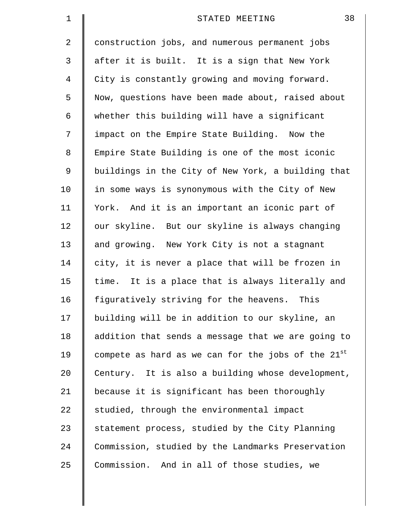| $\mathbf 1$    | 38<br>STATED MEETING                               |
|----------------|----------------------------------------------------|
| $\overline{2}$ | construction jobs, and numerous permanent jobs     |
| 3              | after it is built. It is a sign that New York      |
| 4              | City is constantly growing and moving forward.     |
| 5              | Now, questions have been made about, raised about  |
| 6              | whether this building will have a significant      |
| 7              | impact on the Empire State Building. Now the       |
| 8              | Empire State Building is one of the most iconic    |
| 9              | buildings in the City of New York, a building that |
| 10             | in some ways is synonymous with the City of New    |
| 11             | York. And it is an important an iconic part of     |
| 12             | our skyline. But our skyline is always changing    |
| 13             | and growing. New York City is not a stagnant       |
| 14             | city, it is never a place that will be frozen in   |
| 15             | time. It is a place that is always literally and   |
| 16             | figuratively striving for the heavens. This        |
| 17             | building will be in addition to our skyline, an    |
| 18             | addition that sends a message that we are going to |
| 19             | compete as hard as we can for the jobs of the 21st |
| $20 \,$        | Century. It is also a building whose development,  |
| 21             | because it is significant has been thoroughly      |
| 22             | studied, through the environmental impact          |
| 23             | statement process, studied by the City Planning    |
| 24             | Commission, studied by the Landmarks Preservation  |
| 25             | Commission. And in all of those studies, we        |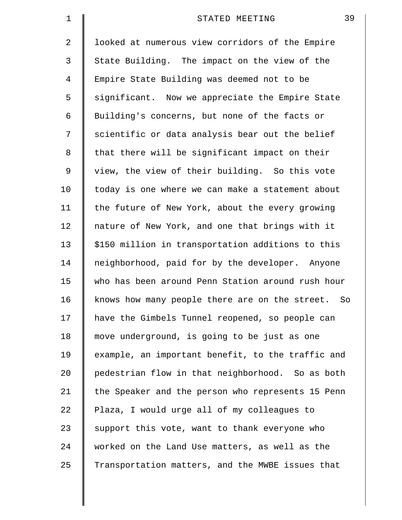| $\mathbf 1$ | 39<br>STATED MEETING                              |
|-------------|---------------------------------------------------|
| 2           | looked at numerous view corridors of the Empire   |
| 3           | State Building. The impact on the view of the     |
| 4           | Empire State Building was deemed not to be        |
| 5           | significant. Now we appreciate the Empire State   |
| 6           | Building's concerns, but none of the facts or     |
| 7           | scientific or data analysis bear out the belief   |
| 8           | that there will be significant impact on their    |
| 9           | view, the view of their building. So this vote    |
| 10          | today is one where we can make a statement about  |
| 11          | the future of New York, about the every growing   |
| 12          | nature of New York, and one that brings with it   |
| 13          | \$150 million in transportation additions to this |
| 14          | neighborhood, paid for by the developer. Anyone   |
| 15          | who has been around Penn Station around rush hour |
| 16          | knows how many people there are on the street. So |
| 17          | have the Gimbels Tunnel reopened, so people can   |
| 18          | move underground, is going to be just as one      |
| 19          | example, an important benefit, to the traffic and |
| $20 \,$     | pedestrian flow in that neighborhood. So as both  |
| 21          | the Speaker and the person who represents 15 Penn |
| 22          | Plaza, I would urge all of my colleagues to       |
| 23          | support this vote, want to thank everyone who     |
| 24          | worked on the Land Use matters, as well as the    |
| 25          | Transportation matters, and the MWBE issues that  |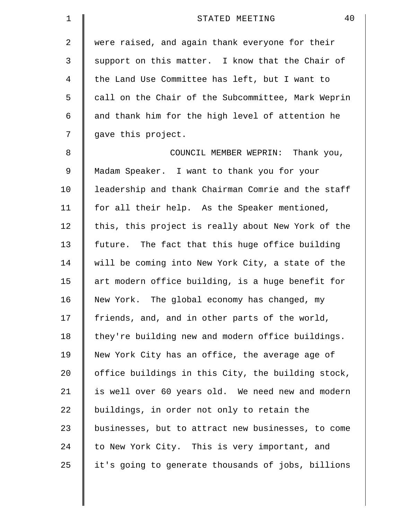| 1  | 40<br>STATED MEETING                               |
|----|----------------------------------------------------|
| 2  | were raised, and again thank everyone for their    |
| 3  | support on this matter. I know that the Chair of   |
| 4  | the Land Use Committee has left, but I want to     |
| 5  | call on the Chair of the Subcommittee, Mark Weprin |
| 6  | and thank him for the high level of attention he   |
| 7  | gave this project.                                 |
| 8  | COUNCIL MEMBER WEPRIN: Thank you,                  |
| 9  | Madam Speaker. I want to thank you for your        |
| 10 | leadership and thank Chairman Comrie and the staff |
| 11 | for all their help. As the Speaker mentioned,      |
| 12 | this, this project is really about New York of the |
| 13 | future. The fact that this huge office building    |
| 14 | will be coming into New York City, a state of the  |
| 15 | art modern office building, is a huge benefit for  |
| 16 | New York. The global economy has changed, my       |
| 17 | friends, and, and in other parts of the world,     |
| 18 | they're building new and modern office buildings.  |
| 19 | New York City has an office, the average age of    |
| 20 | office buildings in this City, the building stock, |
| 21 | is well over 60 years old. We need new and modern  |
| 22 | buildings, in order not only to retain the         |
| 23 | businesses, but to attract new businesses, to come |
| 24 | to New York City. This is very important, and      |
| 25 | it's going to generate thousands of jobs, billions |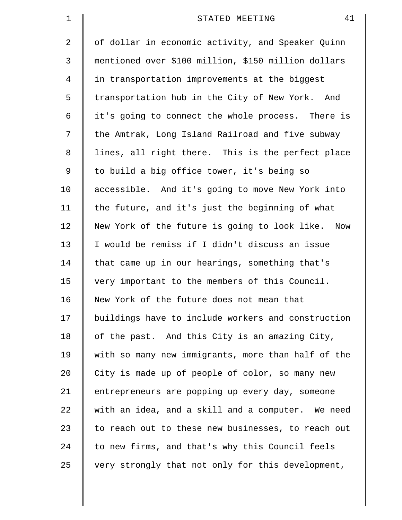| 1           | 41<br>STATED MEETING                                |
|-------------|-----------------------------------------------------|
| 2           | of dollar in economic activity, and Speaker Quinn   |
| 3           | mentioned over \$100 million, \$150 million dollars |
| 4           | in transportation improvements at the biggest       |
| 5           | transportation hub in the City of New York. And     |
| 6           | it's going to connect the whole process. There is   |
| 7           | the Amtrak, Long Island Railroad and five subway    |
| 8           | lines, all right there. This is the perfect place   |
| $\mathsf 9$ | to build a big office tower, it's being so          |
| 10          | accessible. And it's going to move New York into    |
| 11          | the future, and it's just the beginning of what     |
| 12          | New York of the future is going to look like. Now   |
| 13          | I would be remiss if I didn't discuss an issue      |
| 14          | that came up in our hearings, something that's      |
| 15          | very important to the members of this Council.      |
| 16          | New York of the future does not mean that           |
| 17          | buildings have to include workers and construction  |
| 18          | of the past. And this City is an amazing City,      |
| 19          | with so many new immigrants, more than half of the  |
| 20          | City is made up of people of color, so many new     |
| 21          | entrepreneurs are popping up every day, someone     |
| 22          | with an idea, and a skill and a computer. We need   |
| 23          | to reach out to these new businesses, to reach out  |
| 24          | to new firms, and that's why this Council feels     |
| 25          | very strongly that not only for this development,   |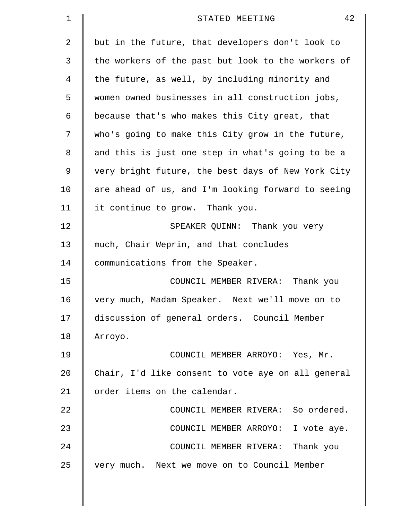| $\mathbf 1$ | 42<br>STATED MEETING                               |
|-------------|----------------------------------------------------|
| 2           | but in the future, that developers don't look to   |
| 3           | the workers of the past but look to the workers of |
| 4           | the future, as well, by including minority and     |
| 5           | women owned businesses in all construction jobs,   |
| 6           | because that's who makes this City great, that     |
| 7           | who's going to make this City grow in the future,  |
| 8           | and this is just one step in what's going to be a  |
| 9           | very bright future, the best days of New York City |
| 10          | are ahead of us, and I'm looking forward to seeing |
| 11          | it continue to grow. Thank you.                    |
| 12          | SPEAKER QUINN: Thank you very                      |
| 13          | much, Chair Weprin, and that concludes             |
| 14          | communications from the Speaker.                   |
| 15          | COUNCIL MEMBER RIVERA: Thank you                   |
| 16          | very much, Madam Speaker. Next we'll move on to    |
| 17          | discussion of general orders. Council Member       |
| 18          | Arroyo.                                            |
| 19          | COUNCIL MEMBER ARROYO: Yes, Mr.                    |
| 20          | Chair, I'd like consent to vote aye on all general |
| 21          | order items on the calendar.                       |
| 22          | COUNCIL MEMBER RIVERA: So ordered.                 |
| 23          | COUNCIL MEMBER ARROYO: I vote aye.                 |
| 24          | COUNCIL MEMBER RIVERA: Thank you                   |
| 25          | very much. Next we move on to Council Member       |
|             |                                                    |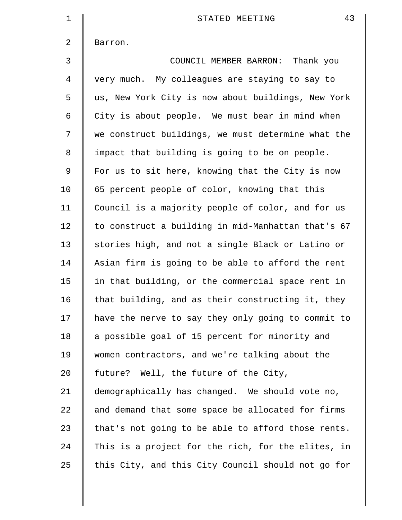| $\mathbf{1}$   | 43<br>STATED MEETING                               |
|----------------|----------------------------------------------------|
| 2              | Barron.                                            |
| $\mathfrak{Z}$ | COUNCIL MEMBER BARRON: Thank you                   |
| $\overline{4}$ | very much. My colleagues are staying to say to     |
| 5              | us, New York City is now about buildings, New York |
| 6              | City is about people. We must bear in mind when    |
| 7              | we construct buildings, we must determine what the |
| $\,8\,$        | impact that building is going to be on people.     |
| $\mathsf 9$    | For us to sit here, knowing that the City is now   |
| 10             | 65 percent people of color, knowing that this      |
| 11             | Council is a majority people of color, and for us  |
| 12             | to construct a building in mid-Manhattan that's 67 |
| 13             | stories high, and not a single Black or Latino or  |
| 14             | Asian firm is going to be able to afford the rent  |
| 15             | in that building, or the commercial space rent in  |
| 16             | that building, and as their constructing it, they  |
| 17             | have the nerve to say they only going to commit to |
| 18             | a possible goal of 15 percent for minority and     |
| 19             | women contractors, and we're talking about the     |
| 20             | future? Well, the future of the City,              |
| 21             | demographically has changed. We should vote no,    |
| 22             | and demand that some space be allocated for firms  |
| 23             | that's not going to be able to afford those rents. |
| 24             | This is a project for the rich, for the elites, in |
| 25             | this City, and this City Council should not go for |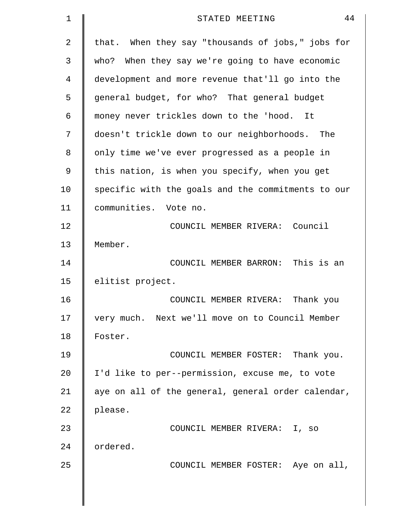| 1  | 44<br>STATED MEETING                               |
|----|----------------------------------------------------|
| 2  | that. When they say "thousands of jobs," jobs for  |
| 3  | who? When they say we're going to have economic    |
| 4  | development and more revenue that'll go into the   |
| 5  | general budget, for who? That general budget       |
| 6  | money never trickles down to the 'hood.<br>It      |
| 7  | doesn't trickle down to our neighborhoods.<br>The  |
| 8  | only time we've ever progressed as a people in     |
| 9  | this nation, is when you specify, when you get     |
| 10 | specific with the goals and the commitments to our |
| 11 | communities. Vote no.                              |
| 12 | COUNCIL MEMBER RIVERA: Council                     |
| 13 | Member.                                            |
| 14 | COUNCIL MEMBER BARRON: This is an                  |
| 15 | elitist project.                                   |
| 16 | Thank you<br>COUNCIL MEMBER RIVERA:                |
| 17 | very much. Next we'll move on to Council Member    |
| 18 | Foster.                                            |
| 19 | COUNCIL MEMBER FOSTER: Thank you.                  |
| 20 | I'd like to per--permission, excuse me, to vote    |
| 21 | aye on all of the general, general order calendar, |
| 22 | please.                                            |
| 23 | COUNCIL MEMBER RIVERA: I, so                       |
| 24 | ordered.                                           |
| 25 | COUNCIL MEMBER FOSTER: Aye on all,                 |
|    |                                                    |
|    |                                                    |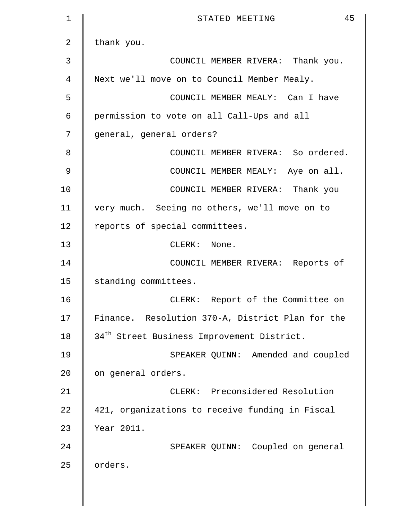| $\mathbf 1$    | 45<br>STATED MEETING                                   |
|----------------|--------------------------------------------------------|
| $\overline{2}$ | thank you.                                             |
| 3              | COUNCIL MEMBER RIVERA: Thank you.                      |
| 4              | Next we'll move on to Council Member Mealy.            |
| 5              | COUNCIL MEMBER MEALY: Can I have                       |
| 6              | permission to vote on all Call-Ups and all             |
| 7              | general, general orders?                               |
| 8              | COUNCIL MEMBER RIVERA: So ordered.                     |
| 9              | COUNCIL MEMBER MEALY: Aye on all.                      |
| 10             | COUNCIL MEMBER RIVERA: Thank you                       |
| 11             | very much. Seeing no others, we'll move on to          |
| 12             | reports of special committees.                         |
| 13             | CLERK: None.                                           |
| 14             | COUNCIL MEMBER RIVERA: Reports of                      |
| 15             | standing committees.                                   |
| 16             | CLERK: Report of the Committee on                      |
| 17             | Finance. Resolution 370-A, District Plan for the       |
| 18             | 34 <sup>th</sup> Street Business Improvement District. |
| 19             | SPEAKER QUINN: Amended and coupled                     |
| 20             | on general orders.                                     |
| 21             | CLERK: Preconsidered Resolution                        |
| 22             | 421, organizations to receive funding in Fiscal        |
| 23             | Year 2011.                                             |
| 24             | SPEAKER QUINN: Coupled on general                      |
| 25             | orders.                                                |
|                |                                                        |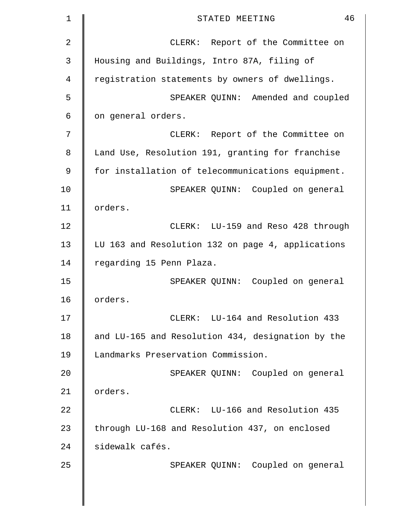| $\mathbf 1$ | 46<br>STATED MEETING                              |
|-------------|---------------------------------------------------|
| 2           | CLERK: Report of the Committee on                 |
| 3           | Housing and Buildings, Intro 87A, filing of       |
| 4           | registration statements by owners of dwellings.   |
| 5           | SPEAKER QUINN: Amended and coupled                |
| 6           | on general orders.                                |
| 7           | CLERK: Report of the Committee on                 |
| 8           | Land Use, Resolution 191, granting for franchise  |
| 9           | for installation of telecommunications equipment. |
| 10          | SPEAKER QUINN: Coupled on general                 |
| 11          | orders.                                           |
| 12          | CLERK: LU-159 and Reso 428 through                |
| 13          | LU 163 and Resolution 132 on page 4, applications |
| 14          | regarding 15 Penn Plaza.                          |
| 15          | SPEAKER QUINN: Coupled on general                 |
| 16          | orders.                                           |
| 17          | CLERK: LU-164 and Resolution 433                  |
| 18          | and LU-165 and Resolution 434, designation by the |
| 19          | Landmarks Preservation Commission.                |
| 20          | SPEAKER QUINN: Coupled on general                 |
| 21          | orders.                                           |
| 22          | CLERK: LU-166 and Resolution 435                  |
| 23          | through LU-168 and Resolution 437, on enclosed    |
| 24          | sidewalk cafés.                                   |
| 25          | SPEAKER QUINN: Coupled on general                 |
|             |                                                   |
|             |                                                   |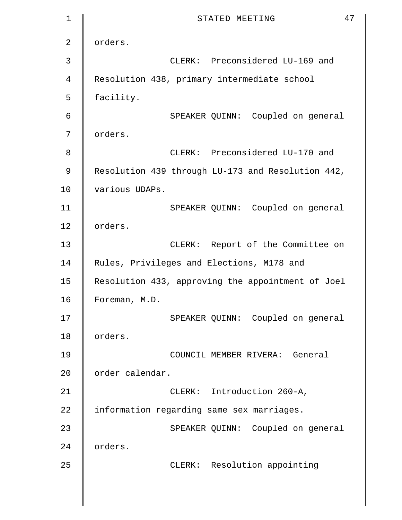```
1 STATED MEETING 47
2 | orders.
3 CLERK: Preconsidered LU-169 and 
4 Resolution 438, primary intermediate school 
5 | facility.
6 SPEAKER QUINN: Coupled on general 
7 | orders.
8 8 CLERK: Preconsidered LU-170 and
9 Resolution 439 through LU-173 and Resolution 442,
10 | various UDAPs.
11 SPEAKER QUINN: Coupled on general 
12 | orders.
13 | CLERK: Report of the Committee on
14 | Rules, Privileges and Elections, M178 and
15 Resolution 433, approving the appointment of Joel 
16 Foreman, M.D.
17 | SPEAKER OUINN: Coupled on general
18 orders. 
19 COUNCIL MEMBER RIVERA: General 
20 | order calendar.
21 | CLERK: Introduction 260-A,
22 | information regarding same sex marriages.
23 | SPEAKER QUINN: Coupled on general
24 | orders.
25 | CLERK: Resolution appointing
```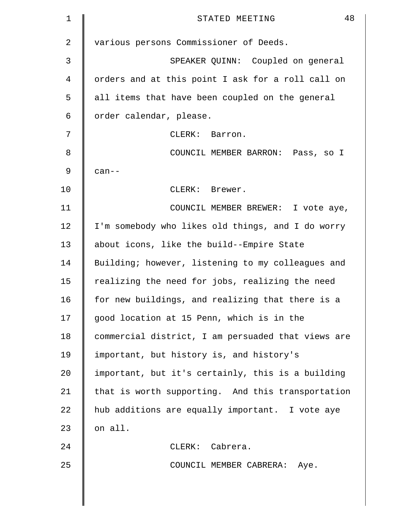| 1  | 48<br>STATED MEETING                               |
|----|----------------------------------------------------|
| 2  | various persons Commissioner of Deeds.             |
| 3  | SPEAKER QUINN: Coupled on general                  |
| 4  | orders and at this point I ask for a roll call on  |
| 5  | all items that have been coupled on the general    |
| 6  | order calendar, please.                            |
| 7  | CLERK: Barron.                                     |
| 8  | COUNCIL MEMBER BARRON: Pass, so I                  |
| 9  | $can--$                                            |
| 10 | CLERK: Brewer.                                     |
| 11 | COUNCIL MEMBER BREWER: I vote aye,                 |
| 12 | I'm somebody who likes old things, and I do worry  |
| 13 | about icons, like the build--Empire State          |
| 14 | Building; however, listening to my colleagues and  |
| 15 | realizing the need for jobs, realizing the need    |
| 16 | for new buildings, and realizing that there is a   |
| 17 | good location at 15 Penn, which is in the          |
| 18 | commercial district, I am persuaded that views are |
| 19 | important, but history is, and history's           |
| 20 | important, but it's certainly, this is a building  |
| 21 | that is worth supporting. And this transportation  |
| 22 | hub additions are equally important. I vote aye    |
| 23 | on all.                                            |
| 24 | CLERK: Cabrera.                                    |
| 25 | COUNCIL MEMBER CABRERA: Aye.                       |
|    |                                                    |
|    |                                                    |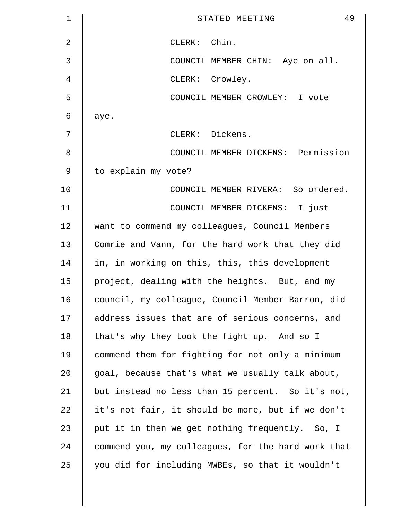| $\mathbf 1$ | 49<br>STATED MEETING                               |
|-------------|----------------------------------------------------|
| 2           | CLERK: Chin.                                       |
| 3           | COUNCIL MEMBER CHIN: Aye on all.                   |
| 4           | CLERK: Crowley.                                    |
| 5           | COUNCIL MEMBER CROWLEY: I vote                     |
| 6           | aye.                                               |
| 7           | CLERK: Dickens.                                    |
| 8           | COUNCIL MEMBER DICKENS: Permission                 |
| 9           | to explain my vote?                                |
| 10          | COUNCIL MEMBER RIVERA: So ordered.                 |
| 11          | COUNCIL MEMBER DICKENS: I just                     |
| 12          | want to commend my colleagues, Council Members     |
| 13          | Comrie and Vann, for the hard work that they did   |
| 14          | in, in working on this, this, this development     |
| 15          | project, dealing with the heights. But, and my     |
| 16          | council, my colleague, Council Member Barron, did  |
| 17          | address issues that are of serious concerns, and   |
| 18          | that's why they took the fight up. And so I        |
| 19          | commend them for fighting for not only a minimum   |
| 20          | goal, because that's what we usually talk about,   |
| 21          | but instead no less than 15 percent. So it's not,  |
| 22          | it's not fair, it should be more, but if we don't  |
| 23          | put it in then we get nothing frequently. So, I    |
| 24          | commend you, my colleagues, for the hard work that |
| 25          | you did for including MWBEs, so that it wouldn't   |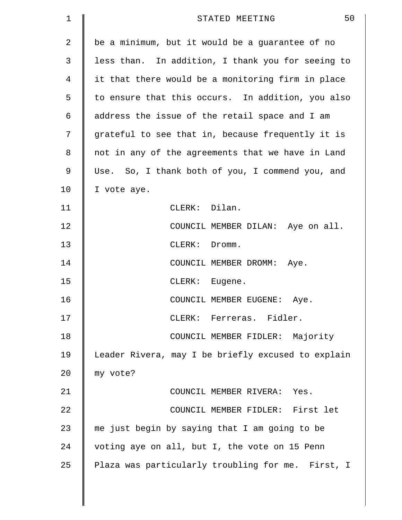| 1  | 50<br>STATED MEETING                               |
|----|----------------------------------------------------|
| 2  | be a minimum, but it would be a guarantee of no    |
| 3  | less than. In addition, I thank you for seeing to  |
| 4  | it that there would be a monitoring firm in place  |
| 5  | to ensure that this occurs. In addition, you also  |
| 6  | address the issue of the retail space and I am     |
| 7  | grateful to see that in, because frequently it is  |
| 8  | not in any of the agreements that we have in Land  |
| 9  | Use. So, I thank both of you, I commend you, and   |
| 10 | I vote aye.                                        |
| 11 | CLERK: Dilan.                                      |
| 12 | COUNCIL MEMBER DILAN: Aye on all.                  |
| 13 | CLERK: Dromm.                                      |
| 14 | COUNCIL MEMBER DROMM: Aye.                         |
| 15 | CLERK: Eugene.                                     |
| 16 | COUNCIL MEMBER EUGENE:<br>Aye.                     |
| 17 | CLERK: Ferreras. Fidler.                           |
| 18 | COUNCIL MEMBER FIDLER: Majority                    |
| 19 | Leader Rivera, may I be briefly excused to explain |
| 20 | my vote?                                           |
| 21 | COUNCIL MEMBER RIVERA: Yes.                        |
| 22 | COUNCIL MEMBER FIDLER: First let                   |
| 23 | me just begin by saying that I am going to be      |
| 24 | voting aye on all, but I, the vote on 15 Penn      |
| 25 | Plaza was particularly troubling for me. First, I  |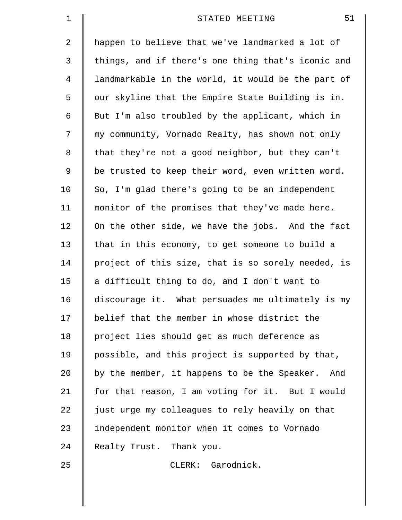| $\mathbf 1$ | 51<br>STATED MEETING                               |
|-------------|----------------------------------------------------|
| 2           | happen to believe that we've landmarked a lot of   |
| 3           | things, and if there's one thing that's iconic and |
| 4           | landmarkable in the world, it would be the part of |
| 5           | our skyline that the Empire State Building is in.  |
| 6           | But I'm also troubled by the applicant, which in   |
| 7           | my community, Vornado Realty, has shown not only   |
| 8           | that they're not a good neighbor, but they can't   |
| 9           | be trusted to keep their word, even written word.  |
| 10          | So, I'm glad there's going to be an independent    |
| 11          | monitor of the promises that they've made here.    |
| 12          | On the other side, we have the jobs. And the fact  |
| 13          | that in this economy, to get someone to build a    |
| 14          | project of this size, that is so sorely needed, is |
| 15          | a difficult thing to do, and I don't want to       |
| 16          | discourage it. What persuades me ultimately is my  |
| 17          | belief that the member in whose district the       |
| 18          | project lies should get as much deference as       |
| 19          | possible, and this project is supported by that,   |
| 20          | by the member, it happens to be the Speaker. And   |
| 21          | for that reason, I am voting for it. But I would   |
| 22          | just urge my colleagues to rely heavily on that    |
| 23          | independent monitor when it comes to Vornado       |
| 24          | Realty Trust. Thank you.                           |
| 25          | CLERK: Garodnick.                                  |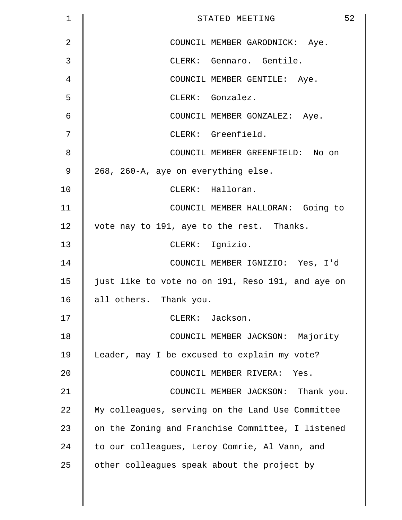| $\mathbf 1$    | 52<br>STATED MEETING                              |
|----------------|---------------------------------------------------|
| $\overline{2}$ | COUNCIL MEMBER GARODNICK: Aye.                    |
| 3              | CLERK: Gennaro. Gentile.                          |
| 4              | COUNCIL MEMBER GENTILE: Aye.                      |
| 5              | CLERK: Gonzalez.                                  |
| 6              | COUNCIL MEMBER GONZALEZ: Aye.                     |
| 7              | CLERK: Greenfield.                                |
| 8              | COUNCIL MEMBER GREENFIELD: No on                  |
| $\mathsf 9$    | 268, 260-A, aye on everything else.               |
| 10             | CLERK: Halloran.                                  |
| 11             | COUNCIL MEMBER HALLORAN: Going to                 |
| 12             | vote nay to 191, aye to the rest. Thanks.         |
| 13             | CLERK: Ignizio.                                   |
| 14             | COUNCIL MEMBER IGNIZIO: Yes, I'd                  |
| 15             | just like to vote no on 191, Reso 191, and aye on |
| 16             | all others. Thank you.                            |
| 17             | CLERK: Jackson.                                   |
| 18             | COUNCIL MEMBER JACKSON: Majority                  |
| 19             | Leader, may I be excused to explain my vote?      |
| 20             | COUNCIL MEMBER RIVERA: Yes.                       |
| 21             | COUNCIL MEMBER JACKSON: Thank you.                |
| 22             | My colleagues, serving on the Land Use Committee  |
| 23             | on the Zoning and Franchise Committee, I listened |
| 24             | to our colleagues, Leroy Comrie, Al Vann, and     |
| 25             | other colleagues speak about the project by       |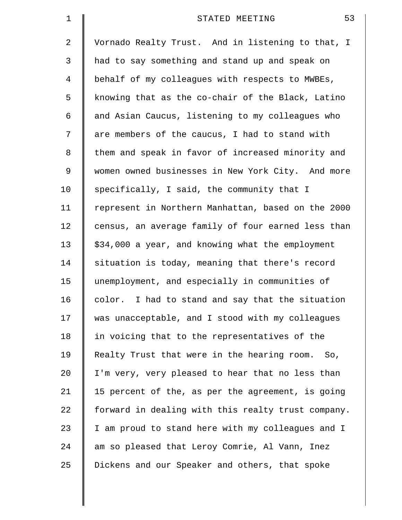| $\mathbf 1$    | 53<br>STATED MEETING                               |
|----------------|----------------------------------------------------|
| 2              | Vornado Realty Trust. And in listening to that, I  |
| 3              | had to say something and stand up and speak on     |
| $\overline{4}$ | behalf of my colleagues with respects to MWBEs,    |
| 5              | knowing that as the co-chair of the Black, Latino  |
| 6              | and Asian Caucus, listening to my colleagues who   |
| 7              | are members of the caucus, I had to stand with     |
| 8              | them and speak in favor of increased minority and  |
| 9              | women owned businesses in New York City. And more  |
| 10             | specifically, I said, the community that I         |
| 11             | represent in Northern Manhattan, based on the 2000 |
| 12             | census, an average family of four earned less than |
| 13             | \$34,000 a year, and knowing what the employment   |
| 14             | situation is today, meaning that there's record    |
| 15             | unemployment, and especially in communities of     |
| 16             | color. I had to stand and say that the situation   |
| 17             | was unacceptable, and I stood with my colleagues   |
| 18             | in voicing that to the representatives of the      |
| 19             | Realty Trust that were in the hearing room. So,    |
| 20             | I'm very, very pleased to hear that no less than   |
| 21             | 15 percent of the, as per the agreement, is going  |
| 22             | forward in dealing with this realty trust company. |
| 23             | I am proud to stand here with my colleagues and I  |
| 24             | am so pleased that Leroy Comrie, Al Vann, Inez     |
| 25             | Dickens and our Speaker and others, that spoke     |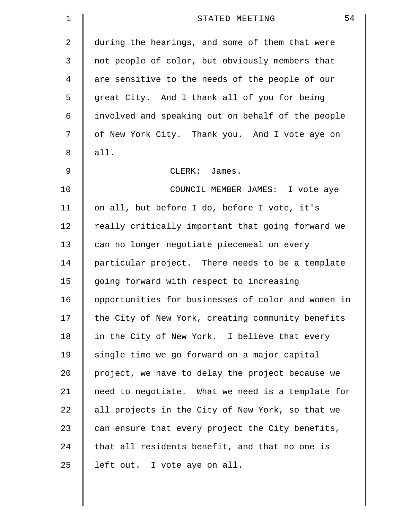| 1  | 54<br>STATED MEETING                               |
|----|----------------------------------------------------|
| 2  | during the hearings, and some of them that were    |
| 3  | not people of color, but obviously members that    |
| 4  | are sensitive to the needs of the people of our    |
| 5  | great City. And I thank all of you for being       |
| 6  | involved and speaking out on behalf of the people  |
| 7  | of New York City. Thank you. And I vote aye on     |
| 8  | all.                                               |
| 9  | CLERK: James.                                      |
| 10 | COUNCIL MEMBER JAMES: I vote aye                   |
| 11 | on all, but before I do, before I vote, it's       |
| 12 | really critically important that going forward we  |
| 13 | can no longer negotiate piecemeal on every         |
| 14 | particular project. There needs to be a template   |
| 15 | going forward with respect to increasing           |
| 16 | opportunities for businesses of color and women in |
| 17 | the City of New York, creating community benefits  |
| 18 | in the City of New York. I believe that every      |
| 19 | single time we go forward on a major capital       |
| 20 | project, we have to delay the project because we   |
| 21 | need to negotiate. What we need is a template for  |
| 22 | all projects in the City of New York, so that we   |
| 23 | can ensure that every project the City benefits,   |
| 24 | that all residents benefit, and that no one is     |
| 25 | left out. I vote aye on all.                       |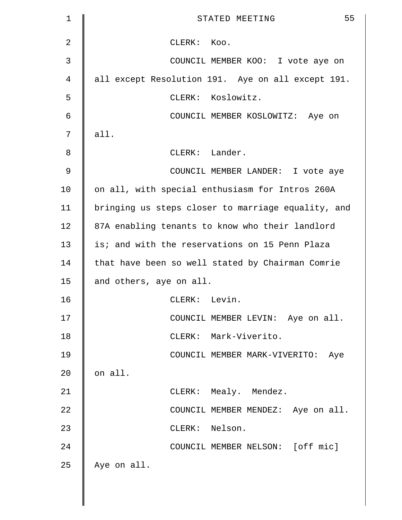| 1             | 55<br>STATED MEETING                               |
|---------------|----------------------------------------------------|
| 2             | CLERK: Koo.                                        |
| 3             | COUNCIL MEMBER KOO: I vote aye on                  |
| 4             | all except Resolution 191. Aye on all except 191.  |
| 5             | CLERK: Koslowitz.                                  |
| 6             | COUNCIL MEMBER KOSLOWITZ: Aye on                   |
| 7             | all.                                               |
| 8             | CLERK: Lander.                                     |
| $\mathcal{G}$ | COUNCIL MEMBER LANDER: I vote aye                  |
| 10            | on all, with special enthusiasm for Intros 260A    |
| 11            | bringing us steps closer to marriage equality, and |
| 12            | 87A enabling tenants to know who their landlord    |
| 13            | is; and with the reservations on 15 Penn Plaza     |
| 14            | that have been so well stated by Chairman Comrie   |
| 15            | and others, aye on all.                            |
| 16            | CLERK: Levin.                                      |
| 17            | COUNCIL MEMBER LEVIN: Aye on all.                  |
| 18            | CLERK: Mark-Viverito.                              |
| 19            | COUNCIL MEMBER MARK-VIVERITO: Aye                  |
| 20            | on all.                                            |
| 21            | CLERK: Mealy. Mendez.                              |
| 22            | COUNCIL MEMBER MENDEZ: Aye on all.                 |
| 23            | CLERK: Nelson.                                     |
| 24            | COUNCIL MEMBER NELSON: [off mic]                   |
| 25            | Aye on all.                                        |
|               |                                                    |
|               |                                                    |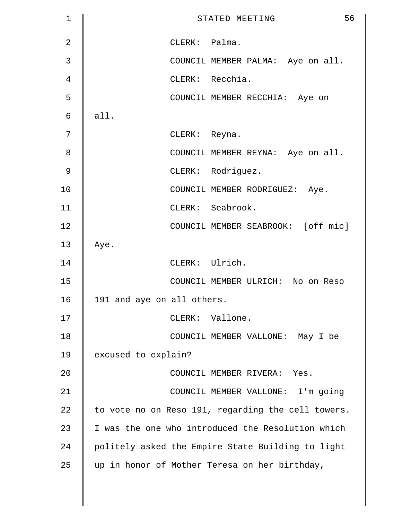| $\mathbf 1$    | 56<br>STATED MEETING                               |
|----------------|----------------------------------------------------|
| $\overline{2}$ | CLERK: Palma.                                      |
| 3              | COUNCIL MEMBER PALMA: Aye on all.                  |
| 4              | CLERK: Recchia.                                    |
| 5              | COUNCIL MEMBER RECCHIA: Aye on                     |
| 6              | all.                                               |
| 7              | CLERK: Reyna.                                      |
| 8              | COUNCIL MEMBER REYNA: Aye on all.                  |
| $\mathcal{G}$  | CLERK: Rodriguez.                                  |
| 10             | COUNCIL MEMBER RODRIGUEZ: Aye.                     |
| 11             | CLERK: Seabrook.                                   |
| 12             | COUNCIL MEMBER SEABROOK: [off mic]                 |
| 13             | Aye.                                               |
| 14             | CLERK: Ulrich.                                     |
| 15             | COUNCIL MEMBER ULRICH: No on Reso                  |
| 16             | 191 and aye on all others.                         |
| 17             | CLERK: Vallone.                                    |
| 18             | COUNCIL MEMBER VALLONE: May I be                   |
| 19             | excused to explain?                                |
| 20             | COUNCIL MEMBER RIVERA: Yes.                        |
| 21             | COUNCIL MEMBER VALLONE: I'm going                  |
| 22             | to vote no on Reso 191, regarding the cell towers. |
| 23             | I was the one who introduced the Resolution which  |
| 24             | politely asked the Empire State Building to light  |
| 25             | up in honor of Mother Teresa on her birthday,      |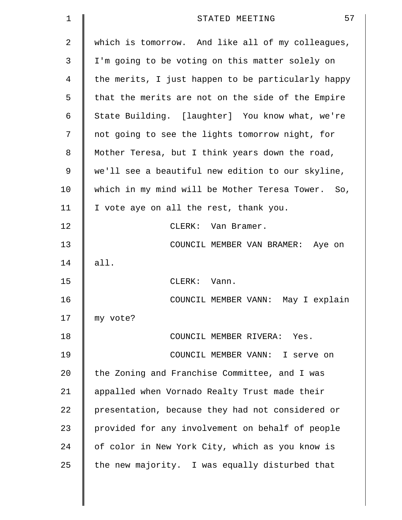| 1  | 57<br>STATED MEETING                               |
|----|----------------------------------------------------|
| 2  | which is tomorrow. And like all of my colleagues,  |
| 3  | I'm going to be voting on this matter solely on    |
| 4  | the merits, I just happen to be particularly happy |
| 5  | that the merits are not on the side of the Empire  |
| 6  | State Building. [laughter] You know what, we're    |
| 7  | not going to see the lights tomorrow night, for    |
| 8  | Mother Teresa, but I think years down the road,    |
| 9  | we'll see a beautiful new edition to our skyline,  |
| 10 | which in my mind will be Mother Teresa Tower. So,  |
| 11 | I vote aye on all the rest, thank you.             |
| 12 | CLERK: Van Bramer.                                 |
| 13 | COUNCIL MEMBER VAN BRAMER: Aye on                  |
| 14 | all.                                               |
| 15 | CLERK: Vann.                                       |
| 16 | COUNCIL MEMBER VANN:<br>May I explain              |
| 17 | my vote?                                           |
| 18 | COUNCIL MEMBER RIVERA: Yes.                        |
| 19 | COUNCIL MEMBER VANN: I serve on                    |
| 20 | the Zoning and Franchise Committee, and I was      |
| 21 | appalled when Vornado Realty Trust made their      |
| 22 | presentation, because they had not considered or   |
| 23 | provided for any involvement on behalf of people   |
| 24 | of color in New York City, which as you know is    |
| 25 | the new majority. I was equally disturbed that     |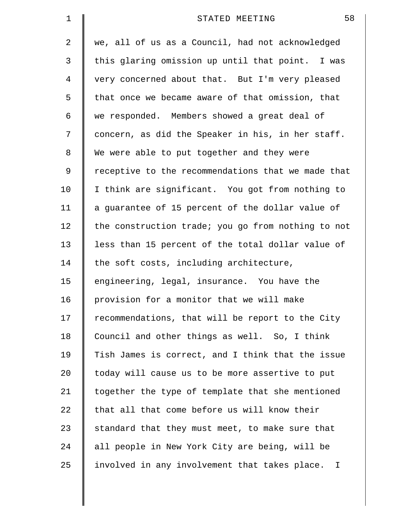| 1  | 58<br>STATED MEETING                               |
|----|----------------------------------------------------|
| 2  | we, all of us as a Council, had not acknowledged   |
| 3  | this glaring omission up until that point. I was   |
| 4  | very concerned about that. But I'm very pleased    |
| 5  | that once we became aware of that omission, that   |
| 6  | we responded. Members showed a great deal of       |
| 7  | concern, as did the Speaker in his, in her staff.  |
| 8  | We were able to put together and they were         |
| 9  | receptive to the recommendations that we made that |
| 10 | I think are significant. You got from nothing to   |
| 11 | a guarantee of 15 percent of the dollar value of   |
| 12 | the construction trade; you go from nothing to not |
| 13 | less than 15 percent of the total dollar value of  |
| 14 | the soft costs, including architecture,            |
| 15 | engineering, legal, insurance. You have the        |
| 16 | provision for a monitor that we will make          |
| 17 | recommendations, that will be report to the City   |
| 18 | Council and other things as well. So, I think      |
| 19 | Tish James is correct, and I think that the issue  |
| 20 | today will cause us to be more assertive to put    |
| 21 | together the type of template that she mentioned   |
| 22 | that all that come before us will know their       |
| 23 | standard that they must meet, to make sure that    |
| 24 | all people in New York City are being, will be     |
| 25 | involved in any involvement that takes place. I    |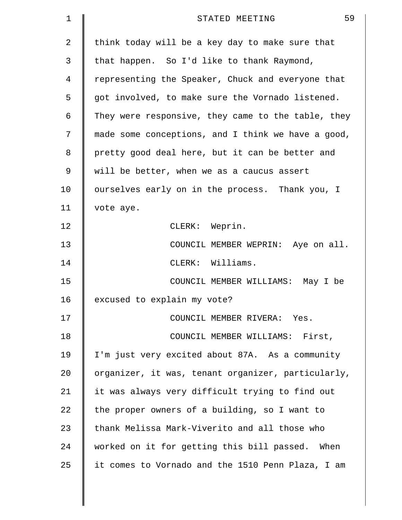| 1  | 59<br>STATED MEETING                               |
|----|----------------------------------------------------|
| 2  | think today will be a key day to make sure that    |
| 3  | that happen. So I'd like to thank Raymond,         |
| 4  | representing the Speaker, Chuck and everyone that  |
| 5  | got involved, to make sure the Vornado listened.   |
| 6  | They were responsive, they came to the table, they |
| 7  | made some conceptions, and I think we have a good, |
| 8  | pretty good deal here, but it can be better and    |
| 9  | will be better, when we as a caucus assert         |
| 10 | ourselves early on in the process. Thank you, I    |
| 11 | vote aye.                                          |
| 12 | CLERK: Weprin.                                     |
| 13 | COUNCIL MEMBER WEPRIN: Aye on all.                 |
| 14 | CLERK: Williams.                                   |
| 15 | COUNCIL MEMBER WILLIAMS: May I be                  |
| 16 | excused to explain my vote?                        |
| 17 | COUNCIL MEMBER RIVERA: Yes.                        |
| 18 | COUNCIL MEMBER WILLIAMS: First,                    |
| 19 | I'm just very excited about 87A. As a community    |
| 20 | organizer, it was, tenant organizer, particularly, |
| 21 | it was always very difficult trying to find out    |
| 22 | the proper owners of a building, so I want to      |
| 23 | thank Melissa Mark-Viverito and all those who      |
| 24 | worked on it for getting this bill passed. When    |
| 25 | it comes to Vornado and the 1510 Penn Plaza, I am  |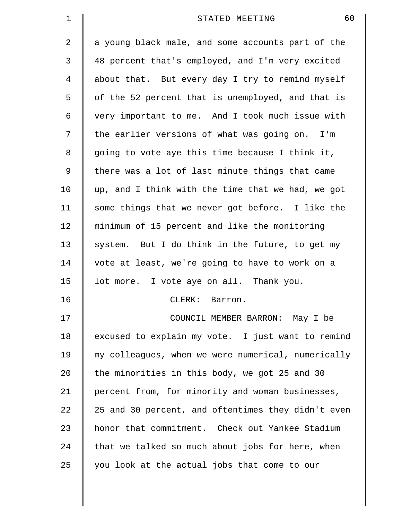| $\mathbf 1$    | 60<br>STATED MEETING                               |
|----------------|----------------------------------------------------|
| $\overline{2}$ | a young black male, and some accounts part of the  |
| 3              | 48 percent that's employed, and I'm very excited   |
| 4              | about that. But every day I try to remind myself   |
| 5              | of the 52 percent that is unemployed, and that is  |
| 6              | very important to me. And I took much issue with   |
| 7              | the earlier versions of what was going on. I'm     |
| 8              | going to vote aye this time because I think it,    |
| 9              | there was a lot of last minute things that came    |
| 10             | up, and I think with the time that we had, we got  |
| 11             | some things that we never got before. I like the   |
| 12             | minimum of 15 percent and like the monitoring      |
| 13             | system. But I do think in the future, to get my    |
| 14             | vote at least, we're going to have to work on a    |
| 15             | lot more. I vote aye on all. Thank you.            |
| 16             | CLERK:<br>Barron.                                  |
| 17             | COUNCIL MEMBER BARRON: May I be                    |
| 18             | excused to explain my vote. I just want to remind  |
| 19             | my colleagues, when we were numerical, numerically |
| 20             | the minorities in this body, we got 25 and 30      |
| 21             | percent from, for minority and woman businesses,   |
| 22             | 25 and 30 percent, and oftentimes they didn't even |
| 23             | honor that commitment. Check out Yankee Stadium    |
| 24             | that we talked so much about jobs for here, when   |
| 25             | you look at the actual jobs that come to our       |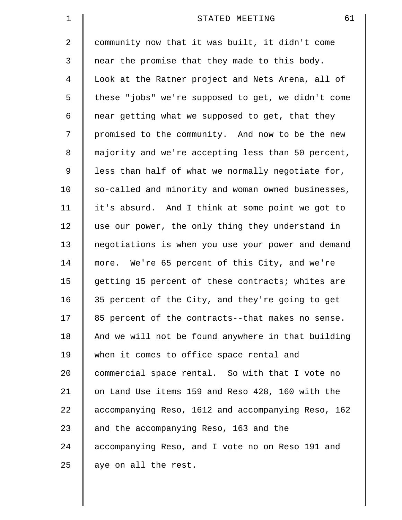| $\mathbf 1$ | 61<br>STATED MEETING                               |
|-------------|----------------------------------------------------|
| 2           | community now that it was built, it didn't come    |
| 3           | near the promise that they made to this body.      |
| 4           | Look at the Ratner project and Nets Arena, all of  |
| 5           | these "jobs" we're supposed to get, we didn't come |
| 6           | near getting what we supposed to get, that they    |
| 7           | promised to the community. And now to be the new   |
| 8           | majority and we're accepting less than 50 percent, |
| 9           | less than half of what we normally negotiate for,  |
| 10          | so-called and minority and woman owned businesses, |
| 11          | it's absurd. And I think at some point we got to   |
| 12          | use our power, the only thing they understand in   |
| 13          | negotiations is when you use your power and demand |
| 14          | more. We're 65 percent of this City, and we're     |
| 15          | getting 15 percent of these contracts; whites are  |
| 16          | 35 percent of the City, and they're going to get   |
| 17          | 85 percent of the contracts--that makes no sense.  |
| 18          | And we will not be found anywhere in that building |
| 19          | when it comes to office space rental and           |
| 20          | commercial space rental. So with that I vote no    |
| 21          | on Land Use items 159 and Reso 428, 160 with the   |
| 22          | accompanying Reso, 1612 and accompanying Reso, 162 |
| 23          | and the accompanying Reso, 163 and the             |
| 24          | accompanying Reso, and I vote no on Reso 191 and   |
| 25          | aye on all the rest.                               |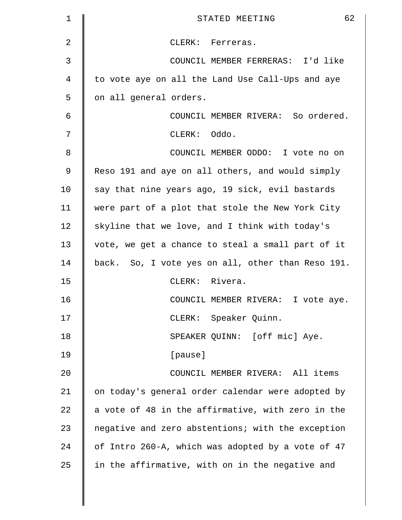| 1  | 62<br>STATED MEETING                              |
|----|---------------------------------------------------|
| 2  | CLERK: Ferreras.                                  |
| 3  | COUNCIL MEMBER FERRERAS: I'd like                 |
| 4  | to vote aye on all the Land Use Call-Ups and aye  |
| 5  | on all general orders.                            |
| 6  | COUNCIL MEMBER RIVERA: So ordered.                |
| 7  | CLERK: Oddo.                                      |
| 8  | COUNCIL MEMBER ODDO: I vote no on                 |
| 9  | Reso 191 and aye on all others, and would simply  |
| 10 | say that nine years ago, 19 sick, evil bastards   |
| 11 | were part of a plot that stole the New York City  |
| 12 | skyline that we love, and I think with today's    |
| 13 | vote, we get a chance to steal a small part of it |
| 14 | back. So, I vote yes on all, other than Reso 191. |
| 15 | CLERK: Rivera.                                    |
| 16 | COUNCIL MEMBER RIVERA: I vote aye.                |
| 17 | CLERK: Speaker Quinn.                             |
| 18 | SPEAKER QUINN: [off mic] Aye.                     |
| 19 | [pause]                                           |
| 20 | COUNCIL MEMBER RIVERA: All items                  |
| 21 | on today's general order calendar were adopted by |
| 22 | a vote of 48 in the affirmative, with zero in the |
| 23 | negative and zero abstentions; with the exception |
| 24 | of Intro 260-A, which was adopted by a vote of 47 |
| 25 | in the affirmative, with on in the negative and   |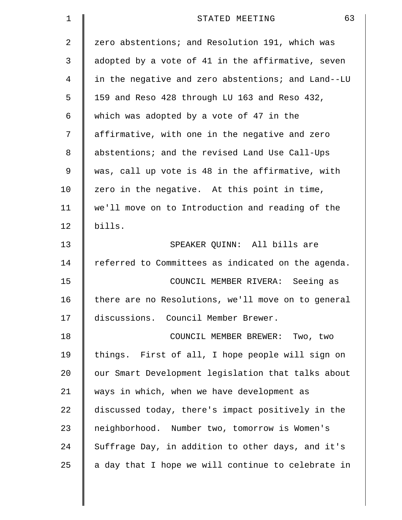| 1              | 63<br>STATED MEETING                               |
|----------------|----------------------------------------------------|
| 2              | zero abstentions; and Resolution 191, which was    |
| 3              | adopted by a vote of 41 in the affirmative, seven  |
| $\overline{4}$ | in the negative and zero abstentions; and Land--LU |
| 5              | 159 and Reso 428 through LU 163 and Reso 432,      |
| 6              | which was adopted by a vote of 47 in the           |
| 7              | affirmative, with one in the negative and zero     |
| 8              | abstentions; and the revised Land Use Call-Ups     |
| 9              | was, call up vote is 48 in the affirmative, with   |
| 10             | zero in the negative. At this point in time,       |
| 11             | we'll move on to Introduction and reading of the   |
| 12             | bills.                                             |
| 13             | SPEAKER QUINN: All bills are                       |
| 14             | referred to Committees as indicated on the agenda. |
| 15             | COUNCIL MEMBER RIVERA: Seeing as                   |
| 16             | there are no Resolutions, we'll move on to general |
| 17             | discussions. Council Member Brewer.                |
| 18             | COUNCIL MEMBER BREWER: Two, two                    |
| 19             | things. First of all, I hope people will sign on   |
| 20             | our Smart Development legislation that talks about |
| 21             | ways in which, when we have development as         |
| 22             | discussed today, there's impact positively in the  |
| 23             | neighborhood. Number two, tomorrow is Women's      |
| 24             | Suffrage Day, in addition to other days, and it's  |
| 25             | a day that I hope we will continue to celebrate in |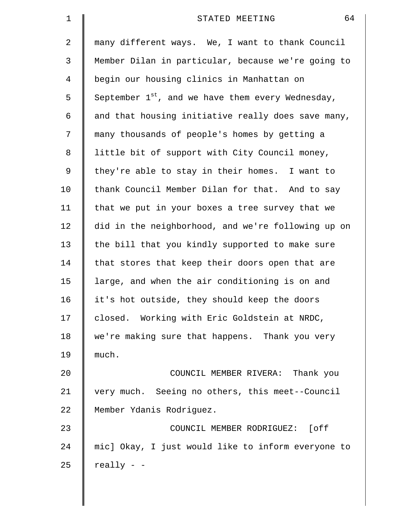| $\mathbf 1$ | 64<br>STATED MEETING                                   |
|-------------|--------------------------------------------------------|
| 2           | many different ways. We, I want to thank Council       |
| 3           | Member Dilan in particular, because we're going to     |
| 4           | begin our housing clinics in Manhattan on              |
| 5           | September $1^{st}$ , and we have them every Wednesday, |
| 6           | and that housing initiative really does save many,     |
| 7           | many thousands of people's homes by getting a          |
| 8           | little bit of support with City Council money,         |
| 9           | they're able to stay in their homes. I want to         |
| 10          | thank Council Member Dilan for that. And to say        |
| 11          | that we put in your boxes a tree survey that we        |
| 12          | did in the neighborhood, and we're following up on     |
| 13          | the bill that you kindly supported to make sure        |
| 14          | that stores that keep their doors open that are        |
| 15          | large, and when the air conditioning is on and         |
| 16          | it's hot outside, they should keep the doors           |
| 17          | closed. Working with Eric Goldstein at NRDC,           |
| 18          | we're making sure that happens. Thank you very         |
| 19          | much.                                                  |
| 20          | COUNCIL MEMBER RIVERA: Thank you                       |
| 21          | very much. Seeing no others, this meet--Council        |
| 22          | Member Ydanis Rodriguez.                               |
| 23          | COUNCIL MEMBER RODRIGUEZ: [off                         |
| 24          | mic] Okay, I just would like to inform everyone to     |
| 25          | $really - -$                                           |
|             |                                                        |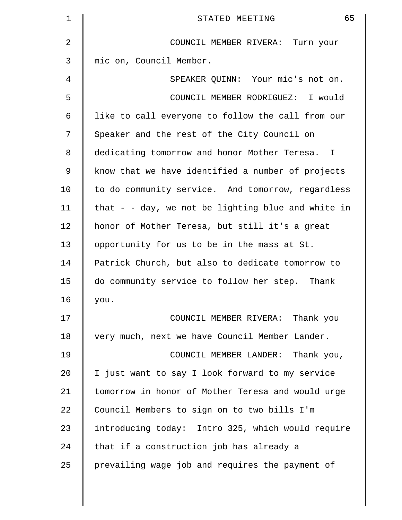| $\mathbf 1$    | 65<br>STATED MEETING                                 |
|----------------|------------------------------------------------------|
| $\overline{2}$ | COUNCIL MEMBER RIVERA: Turn your                     |
| 3              | mic on, Council Member.                              |
| 4              | SPEAKER QUINN: Your mic's not on.                    |
| 5              | COUNCIL MEMBER RODRIGUEZ: I would                    |
| 6              | like to call everyone to follow the call from our    |
| 7              | Speaker and the rest of the City Council on          |
| 8              | dedicating tomorrow and honor Mother Teresa. I       |
| 9              | know that we have identified a number of projects    |
| 10             | to do community service. And tomorrow, regardless    |
| 11             | that $-$ - day, we not be lighting blue and white in |
| 12             | honor of Mother Teresa, but still it's a great       |
| 13             | opportunity for us to be in the mass at St.          |
| 14             | Patrick Church, but also to dedicate tomorrow to     |
| 15             | do community service to follow her step. Thank       |
| 16             | you.                                                 |
| 17             | COUNCIL MEMBER RIVERA: Thank you                     |
| 18             | very much, next we have Council Member Lander.       |
| 19             | COUNCIL MEMBER LANDER: Thank you,                    |
| 20             | I just want to say I look forward to my service      |
| 21             | tomorrow in honor of Mother Teresa and would urge    |
| 22             | Council Members to sign on to two bills I'm          |
| 23             | introducing today: Intro 325, which would require    |
| 24             | that if a construction job has already a             |
| 25             | prevailing wage job and requires the payment of      |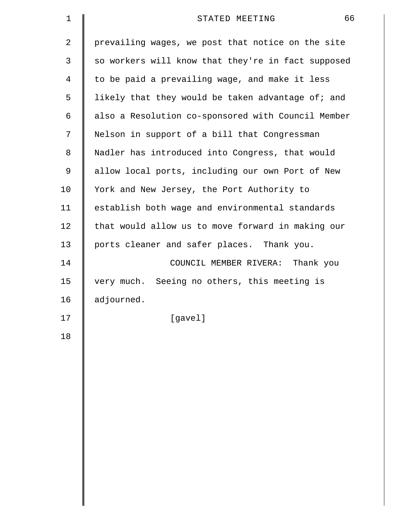| $\mathbf 1$    | 66<br>STATED MEETING                               |
|----------------|----------------------------------------------------|
| $\overline{2}$ | prevailing wages, we post that notice on the site  |
| 3              | so workers will know that they're in fact supposed |
| 4              | to be paid a prevailing wage, and make it less     |
| 5              | likely that they would be taken advantage of; and  |
| 6              | also a Resolution co-sponsored with Council Member |
| 7              | Nelson in support of a bill that Congressman       |
| 8              | Nadler has introduced into Congress, that would    |
| 9              | allow local ports, including our own Port of New   |
| 10             | York and New Jersey, the Port Authority to         |
| 11             | establish both wage and environmental standards    |
| 12             | that would allow us to move forward in making our  |
| 13             | ports cleaner and safer places. Thank you.         |
| 14             | COUNCIL MEMBER RIVERA: Thank you                   |
| 15             | very much. Seeing no others, this meeting is       |
| 16             | adjourned.                                         |
| 17             | [gavel]                                            |
| 18             |                                                    |
|                |                                                    |
|                |                                                    |
|                |                                                    |
|                |                                                    |
|                |                                                    |
|                |                                                    |
|                |                                                    |
|                |                                                    |
|                |                                                    |